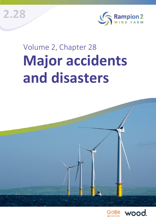**2.28**



# Volume 2, Chapter 28 **Major accidents and disasters**



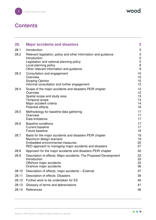# **Contents**

| 28.            | <b>Major accidents and disasters</b>                                                                                                                                                            | 3                                        |
|----------------|-------------------------------------------------------------------------------------------------------------------------------------------------------------------------------------------------|------------------------------------------|
| 28.1           | Introduction                                                                                                                                                                                    | 3                                        |
| 28.2           | Relevant legislation, policy and other information and guidance<br>Introduction<br>Legislation and national planning policy<br>Local planning policy<br>Other relevant information and guidance | 5<br>5<br>$\overline{5}$<br>$\bf 8$<br>9 |
| 28.3           | Consultation and engagement<br>Overview<br>Scoping Opinion<br>Informal consultation and further engagement                                                                                      | 10<br>10<br>10<br>12                     |
| 28.4           | Scope of the major accidents and disasters PEIR chapter<br>Overview<br>Spatial scope and study area<br>Temporal scope<br>Major accident criteria<br><b>Potential effects</b>                    | 12<br>12<br>13<br>13<br>14<br>16         |
| 28.5           | Methodology for baseline data gathering<br>Overview<br>Data limitations                                                                                                                         | 17<br>17<br>17                           |
| 28.6           | <b>Baseline conditions</b><br><b>Current baseline</b><br><b>Future baseline</b>                                                                                                                 | 17<br>17<br>18                           |
| 28.7           | Basis for the major accidents and disasters PEIR chapter<br>Maximum design scenario<br>Embedded environmental measures<br>RED approach to managing major accidents and disasters                | 19<br>19<br>20<br>27                     |
| 28.8           | Approach for the major accidents and disasters PEIR chapter                                                                                                                                     | 32                                       |
| 28.9           | Description of effects: Major accidents: The Proposed Development<br>Introduction<br>Offshore major accidents<br>Onshore major accidents                                                        | 33<br>33<br>33<br>36                     |
| 28.10          | Description of effects: major accidents - External                                                                                                                                              | 37                                       |
| 28.11          | Description of effects: Disasters                                                                                                                                                               | 39                                       |
| 28.12          | Further work to be undertaken for ES                                                                                                                                                            | 40                                       |
| 28.13<br>28.14 | Glossary of terms and abbreviations<br>References                                                                                                                                               | 41<br>46                                 |
|                |                                                                                                                                                                                                 |                                          |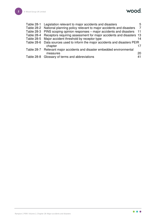

|          | 5                                                                                                                                                                                                                                                                                                                                                                                                                                                                                                                                                                                      |
|----------|----------------------------------------------------------------------------------------------------------------------------------------------------------------------------------------------------------------------------------------------------------------------------------------------------------------------------------------------------------------------------------------------------------------------------------------------------------------------------------------------------------------------------------------------------------------------------------------|
|          | - 7                                                                                                                                                                                                                                                                                                                                                                                                                                                                                                                                                                                    |
|          | 11                                                                                                                                                                                                                                                                                                                                                                                                                                                                                                                                                                                     |
|          |                                                                                                                                                                                                                                                                                                                                                                                                                                                                                                                                                                                        |
|          | 14                                                                                                                                                                                                                                                                                                                                                                                                                                                                                                                                                                                     |
|          |                                                                                                                                                                                                                                                                                                                                                                                                                                                                                                                                                                                        |
| chapter  | 17                                                                                                                                                                                                                                                                                                                                                                                                                                                                                                                                                                                     |
|          |                                                                                                                                                                                                                                                                                                                                                                                                                                                                                                                                                                                        |
| measures | 20                                                                                                                                                                                                                                                                                                                                                                                                                                                                                                                                                                                     |
|          | 41                                                                                                                                                                                                                                                                                                                                                                                                                                                                                                                                                                                     |
|          | Table 28-1 Legislation relevant to major accidents and disasters<br>Table 28-2 National planning policy relevant to major accidents and disasters<br>Table 28-3 PINS scoping opinion responses – major accidents and disasters<br>Table 28-4 Receptors requiring assessment for major accidents and disasters 13<br>Table 28-5 Major accident threshold by receptor type<br>Table 28-6 Data sources used to inform the major accidents and disasters PEIR<br>Table 28-7 Relevant major accidents and disaster embedded environmental<br>Table 28-8 Glossary of terms and abbreviations |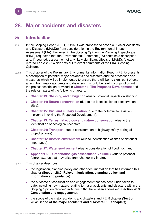# <span id="page-3-0"></span>**28. Major accidents and disasters**

# <span id="page-3-1"></span>**28.1 Introduction**

- 28.1.1 In the Scoping Report (RED, 2020), it was proposed to scope out Major Accidents and Disasters (MA&Ds) from consideration in the Environmental Impact Assessment (EIA). However, in the Scoping Opinion the Planning Inspectorate (PINS) requested that the Environmental Statement (ES) contains a description and, if required, assessment of any likely significant effects of MA&Ds (please refer to **[Table 28-3](#page-11-0)** which sets out relevant comments of the PINS Scoping Opinion).
- 28.1.2 This chapter of the Preliminary Environmental Information Report (PEIR) presents a description of potential major accidents and disasters and the processes and measures which will be implemented to ensure there will be no significant effects arising from major accidents and disasters. It should be read in conjunction with the project description provided in **Chapter 4: The Proposed Development** and the relevant parts of the following chapters:
	- ⚫ **Chapter 13: Shipping and navigation** (due to potential impacts on shipping);
	- ⚫ **Chapter 14: Nature conservation** (due to the identification of conservation sites);
	- ⚫ **Chapter 15: Civil and military aviation** (due to the potential for aviation incidents involving the Proposed Development);
	- ⚫ **Chapter 23: Terrestrial ecology and nature conservation** (due to the identification of ecological receptors);
	- ⚫ **Chapter 24: Transport** (due to consideration of highway safety during all project phases);
	- ⚫ **Chapter 26: Historic environment** (due to identification of sites of historical importance);
	- ⚫ **Chapter 27: Water environment** (due to consideration of flood risk); and
	- ⚫ **Appendix 5.2: Greenhouse gas assessment, Volume 4** (due to potential future hazards that may arise from change in climate).
- 28.1.3 This chapter describes:
	- ⚫ the legislation, planning policy and other documentation that has informed this chapter (**Section [28.2:](#page-5-0) Relevant legislation, planning policy, and information and guidance**);
	- ⚫ the outcome of consultation and engagement that has been undertaken to date, including how matters relating to major accidents and disasters within the Scoping Opinion received in August 2020 have been addressed (**Section [28.3:](#page-10-0) Consultation and engagement**);
	- ⚫ the scope of the major accidents and disasters and PEIR chapter (**Section [28.4:](#page-12-1) Scope of the major accidents and disasters PEIR chapter**);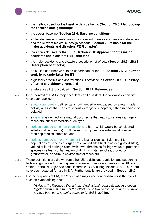- ⚫ the methods used for the baseline data gathering (**Section [28.5:](#page-17-0) Methodology for baseline data gathering**);
- ⚫ the overall baseline (**Section [28.6:](#page-17-3) Baseline conditions**);
- ⚫ embedded environmental measures relevant to major accidents and disasters and the relevant maximum design scenario (**Section [28.7:](#page-19-0) Basis for the major accidents and disasters PEIR chapter**);
- ⚫ the approach used for the PEIR (**Section [28.8:](#page-32-0) Approach for the major accidents and disasters PEIR chapter**);
- ⚫ the major accidents and disasters description of effects (**Section [28.9](#page-33-0) - [28.11:](#page-39-0) Description of effects**);
- ⚫ an outline of further work to be undertaken for the ES (**Section [28.12:](#page-40-0) Further work to be undertaken for ES**);
- ⚫ a glossary of terms and abbreviations is provided in **Section [28.13:](#page-41-0) Glossary of terms and abbreviations**; and
- ⚫ a references list is provided in **Section [28.14:](#page-46-0) References**.
- 28.1.4 In the context of EIA for major accidents and disasters, the following definitions have been applied:
	- a major accident is defined as an unintended event caused by a man-made activity or asset that leads to serious damage to receptors, either immediate or delayed;
	- a disaster is defined as a natural occurrence that leads to serious damage to receptors, either immediate or delayed;
	- serious damage to human populations is harm which would be considered substantial i.e. death(s), multiple serious injuries or a substantial number requiring medical attention; and
	- serious damage to the environment is loss or significant detriment to populations of species or organisms, valued sites (including designated sites), valued cultural heritage sites (with lower thresholds for high-value or protected species or sites), contamination of drinking water supplies, ground or groundwater, or harm to environmental receptors.
- 28.1.5 These definitions are drawn from other UK legislation, regulation and supporting technical guidance for the purpose of assessing major accidents in the UK, such as the Control of Major Accident Hazards (COMAH) Regulations (HSE, 2015) but have been adapted for use in EIA. Further details are provided in **Section [28.2](#page-5-0)**.
- 28.1.6 For the purposes of EIA, the 'effect' of a major accident or disaster is the risk of such an event arising, thus;

"*A risk is the likelihood that a hazard will actually cause its adverse effects, together with a measure of the effect. It is a two-part concept and you have to have both parts to make sense of it.*" (HSE, 2001a).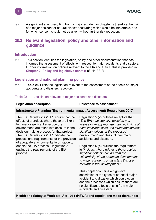28.1.7 A significant effect resulting from a major accident or disaster is therefore the risk of a major accident or natural disaster occurring which would be intolerable, and for which consent should not be given without further risk reduction.

# <span id="page-5-0"></span>**28.2 Relevant legislation, policy and other information and guidance**

#### <span id="page-5-1"></span>**Introduction**

28.2.1 This section identifies the legislation, policy and other documentation that has informed the assessment of effects with respect to major accidents and disasters. Further information on policies relevant to the EIA and their status is provided in **Chapter 2: Policy and legislative context** of this PEIR.

## <span id="page-5-2"></span>**Legislation and national planning policy**

28.2.2 **[Table 28-1](#page-5-3)** lists the legislation relevant to the assessment of the effects on major accidents and disasters receptors.

#### <span id="page-5-3"></span>Table 28-1 Legislation relevant to major accidents and disasters

#### **Legislation description Legislation Relevance to assessment**

#### **Infrastructure Planning (Environmental Impact Assessment) Regulations 2017**

The EIA Regulations 2017 require that the effects of a project, where these are likely to have a significant effect on the environment, are taken into account in the decision-making process for that project. The EIA Regulations 2017 indicate the process and requirements for the provision of adequate environmental information to enable the EIA process. Regulation 5 outlines the requirements of the EIA process.

Regulation 5 (2) outlines receptors that "*The EIA must identify, describe and assess in an appropriate manner, in light of each individual case, the direct and indirect significant effects of the proposed development*" and this includes major accidents and disasters.

Regulation 5 (4) outlines the requirement to "*include, where relevant, the expected significant effects arising from the vulnerability of the proposed development to major accidents or disasters that are relevant to that development*."

This chapter contains a high-level description of the types of potential major accident and disaster which could occur and the processes which ensure there are no significant effects arising from major accidents and disasters.

#### **Health and Safety at Work etc. Act 1974 (HSWA) and regulations made thereunder**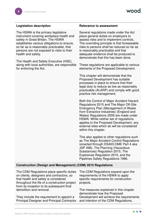The HSWA is the primary legislative instrument covering workplace health and safety in Great Britain. The HSWA establishes various obligations to ensure, so far as is reasonably practicable, that persons are not exposed to risks to their health and safety.

The Health and Safety Executive (HSE), along with local authorities, are responsible for enforcing the Act.

#### Legislation description **Relevance to assessment**

Several regulations made under the Act place general duties on employers to assess risks and to implement controls. The overriding principle is that foreseeable risks to persons shall be reduced so far as is reasonably practicable and that adequate evidence shall be produced to demonstrate that this has been done.

These regulations are applicable to various elements of the Proposed Development.

This chapter will demonstrate that the Proposed Development has suitable processes in place to ensure that their legal duty to reduce as low as reasonably practicable (ALARP) and comply with good practice risk management.

Both the Control of Major Accident Hazard Regulations 2015 and The Major Off-Site Emergency Plan (Management of Waste from Extractive Industries) (England and Wales) Regulations 2009 are made under HSWA. While neither set of regulations applies to the Proposed Development, any external sites which do will be considered within this chapter.

This also applies to other regulations such as The Major Accident Control Regulations (enacted through DSA03.OME Part 4 aka JSP 498), The Planning (Hazardous Substances) Regulation 2015, The Explosives Regulation 2015, and the Pipelines Safety Regulations 1996.

#### **Construction (Design and Management) (CDM) 2015 Regulations**

The CDM Regulations place specific duties on clients, designers and contractors, so that health and safety is considered throughout the life of a construction project from its inception to its subsequent final demolition and removal.

They include the requirement to appoint a Principal Designer and Principal Contractor The CDM Regulations expand upon the requirements of the HSWA to apply specific requirements for construction projects.

The measures explained in this chapter demonstrate how the Proposed Development will achieve the requirements and intention of the CDM Regulations,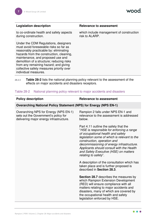wood.

| <b>Legislation description</b>                                                                                                                                                                                                                                                                                                                                      | <b>Relevance to assessment</b>                             |
|---------------------------------------------------------------------------------------------------------------------------------------------------------------------------------------------------------------------------------------------------------------------------------------------------------------------------------------------------------------------|------------------------------------------------------------|
| to co-ordinate health and safety aspects<br>during construction.                                                                                                                                                                                                                                                                                                    | which include management of construction<br>risk to ALARP. |
| Under the CDM Regulations, designers<br>must avoid foreseeable risks so far as<br>reasonably practicable by: eliminating<br>hazards from the construction, cleaning,<br>maintenance, and proposed use and<br>demolition of a structure; reducing risks<br>from any remaining hazard; and giving<br>collective safety measures priority over<br>individual measures. |                                                            |

### 28.2.3 **[Table 28-2](#page-7-0)** lists the national planning policy relevant to the assessment of the effects on major accidents and disasters receptors.

#### <span id="page-7-0"></span>Table 28-2 National planning policy relevant to major accidents and disasters

| <b>Policy description</b>                                                                                                | <b>Relevance to assessment</b>                                                                                                                                                                                                                                                                                                                                    |  |
|--------------------------------------------------------------------------------------------------------------------------|-------------------------------------------------------------------------------------------------------------------------------------------------------------------------------------------------------------------------------------------------------------------------------------------------------------------------------------------------------------------|--|
| <b>Overarching National Policy Statement (NPS) for Energy (NPS EN-1)</b>                                                 |                                                                                                                                                                                                                                                                                                                                                                   |  |
| Overarching NPS for Energy (NPS EN-1)<br>sets out the Government's policy for<br>delivering major energy infrastructure. | Rampion 2 falls under NPS EN-1 and<br>relevance to the assessment is addressed<br>below.                                                                                                                                                                                                                                                                          |  |
|                                                                                                                          | Part 4.11 outline the safety that the<br>"HSE is responsible for enforcing a range<br>of occupational health and safety<br>legislation some of which is relevant to the<br>construction, operation and<br>decommissioning of energy infrastructure.<br>Applicants should consult with the Health<br>and Safety Executive (HSE) on matters<br>relating to safety". |  |
|                                                                                                                          | A description of the consultation which has<br>taken place and is further proposed is<br>described in Section 28.3.                                                                                                                                                                                                                                               |  |
|                                                                                                                          | <b>Section 28.7</b> describes the measures by<br>which Rampion Extension Development<br>(RED) will ensure compliance with all<br>matters relating to major accidents and<br>disasters, many of which are covered by<br>the occupational health and safety<br>legislation enforced by HSE.                                                                         |  |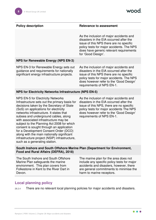#### **Policy description Example 3 A Relevance to assessment**

As the inclusion of major accidents and disasters in the EIA occurred after the issue of this NPS there are no specific policy tests for major accidents. The NPS does have generic relevant requirements for 'Good Design'.

#### **NPS for Renewable Energy (NPS EN-3)**

NPS EN-3 for Renewable Energy sets out guidance and requirements for nationally significant energy infrastructure projects.

As the inclusion of major accidents and disasters in the EIA occurred after the issue of this NPS there are no specific policy tests for major accidents. The NPS does however refer to the 'Good Design' requirements of NPS EN-1.

#### **NPS for Electricity Networks Infrastructure (NPS EN-5)**

NPS EN-5 for Electricity Networks Infrastructure sets out the primary basis for decisions taken by the Secretary of State (SoS) on applications for electricity networks infrastructure. It states that subsea and underground cables, along with associated infrastructure may be subject to the Planning Act 2008 for which consent is sought through an application for a Development Consent Order (DCO) along with the main nationally significant infrastructure project (NSIP) infrastructure, such as a generating station.

As the inclusion of major accidents and disasters in the EIA occurred after the issue of this NPS, there are no specific policy tests for major accidents The NPS does however refer to the 'Good Design' requirements of NPS EN-1.

#### **South Inshore and South Offshore Marine Plan (Department for Environment, Food and Rural Affairs (DEFRA), 2018)**

The South Inshore and South Offshore Marine Plan safeguards the marine environment. This plan covers from Folkestone in Kent to the River Dart in Devon.

The marine plan for the area does not include any specific policy tests for major accidents and disasters, however, there are general commitments to minimise the harm to marine receptors.

# <span id="page-8-0"></span>**Local planning policy**

28.2.4 There are no relevant local planning policies for major accidents and disasters.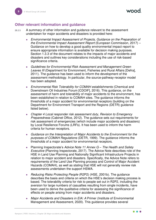## <span id="page-9-0"></span>**Other relevant information and guidance**

- 28.2.5 A summary of other information and guidance relevant to the assessment undertaken for major accidents and disasters is provided here:
	- ⚫ *Environmental Impact Assessment of Projects, Guidance on the Preparation of the Environmental Impact Assessment Report* (European Commission, 2017) – Guidance on how to develop a good quality environmental impact report to ensure appropriate information is available for decision making purposes. Section 1.3.3 of the document relates to the impacts of major accidents and disasters and outlines key considerations including the use of risk-based significance criteria.
	- ⚫ *Guidelines for Environmental Risk Assessment and Management Green Leaves III* (Department for Environment, Fisheries and Rural Affairs [Defra], 2011). The guidance has been used to inform the development of the assessment methodology. In particular, the source-pathway-receptor model has been adopted.
	- ⚫ *Environmental Risk Tolerability for COMAH establishments* (Chemical and Downstream Oil Industries Forum [CDOIF], 2016). This guidance, on the assessment of harm and tolerability of major accidents to the environment, has been established in relation to COMAH sites. The guidance informs the thresholds of a major accident for environmental receptors (building on the Department for Environment Transport and the Regions (DETR) guidance listed below).
	- ⚫ *Chapter 4 Local responder risk assessment duty, Revision to Emergency Preparedness* (Cabinet Office, 2012). The guidance sets out requirements for risk assessment of emergencies (which include major accidents and disasters) by Local Resilience Forums (LRFs). It has been used to inform the harm criteria for human receptors.
	- ⚫ *Guidance on the Interpretation of Major Accidents to the Environment for the purposes of COMAH Regulations* (DETR, 1999). The guidance informs the thresholds of a major accident for environmental receptors.
	- ⚫ Planning Inspectorate's *Advice Note 11 Annex G – The Health and Safety Executive* (Planning Inspectorate, 2017). The Advice Note describes role of the HSE in Land Use Planning and Nationally Significant Infrastructure Projects in relation to major accident and disasters. Specifically, the Advice Note refers to requirements of the Land Use Planning process and Control of Major Accident Hazards (COMAH), as well as stating that HSE will not generally review risk assessments undertaken the support HSWA.
	- ⚫ *Reducing Risks Protecting People* (R2P2) (HSE, 2001b). The guidance describes the basis and criteria on which the HSE's decision making process is based. The tolerability criteria for risk to people set out in R2P2, including the aversion for large numbers of casualties resulting from single incidents, have been used to derive the qualitative criteria for assessing the significance of effects on people arising from major accidents and disasters.
	- ⚫ *Major Accidents and Disasters in EIA: A* Primer (Institute of Environmental Management and Assessment, 2020). This guidance provides several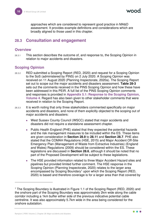approaches which are considered to represent good practice in MA&D assessment. It provides example definitions and considerations which are broadly aligned to those used in this chapter.

# <span id="page-10-0"></span>**28.3 Consultation and engagement**

#### <span id="page-10-1"></span>**Overview**

28.3.1 This section describes the outcome of, and response to, the Scoping Opinion in relation to major accidents and disasters.

# <span id="page-10-2"></span>**Scoping Opinion**

- 28.3.2 RED submitted a Scoping Report (RED, 2020) and request for a Scoping Opinion to the SoS (administered by PINS) on 2 July 2020. A Scoping Opinion was received on 11 August 2020 (Planning Inspectorate, 2020a). The Scoping Report set out to scope out the major accidents and disasters assessment. **[Table 28-3](#page-11-0)** sets out the comments received in the PINS Scoping Opinion and how these have been addressed in this PEIR. A full list of the PINS Scoping Opinion comments and responses is provided in **Appendix 5.1: Response to the Scoping Opinion, Volume 4**. Regard has also been given to other stakeholder comments that were received in relation to the Scoping Report.
- 28.3.3 It is worth noting that only three stakeholders commented specifically on major accidents and disasters, and none of them explicitly objected to the scoping out of major accidents and disasters:
	- ⚫ West Sussex County Council (WSCC) stated that major accidents and disasters did not require a standalone assessment chapter.
	- Public Health England (PHE) stated that they expected the potential hazards and the risk management measures to be included within the ES. These items are given consideration in **Section [28.9](#page-33-0)** to **[28.11](#page-39-0)** and **Section [28.7](#page-19-0)**. PHE also stated that the COMAH Regulations (HSE, 2015) and Major Accident Off-Site Emergency Plan (Management of Waste from Extractive Industries) (England and Wales) Regulations (2009) should be considered within the ES. These legislations are discussed in **Section [28.6](#page-17-3)**, although it should be noted that no part of the Proposed Development will be subject to these legislations.
	- The HSE provided information related to three Major Accident Hazard sites and pipelines but provided limited further comment. The HSE response in the Scoping Opinion (Planning Inspectorate, 2020) relates to the larger area encompassed by Scoping Boundary<sup>1</sup> upon which the Scoping Report (RED, 2020) is based and therefore coverage is for a larger area than that covered by

<sup>&</sup>lt;sup>1</sup> The Scoping Boundary is illustrated in Figure 1.1 of the Scoping Report (RED, 2020) and the onshore part of the Scoping Boundary was approximately 2km wide along the cable corridor including a 1km buffer either side of the previous indicative potential cable centreline. It was also approximately 5.7km wide in the area being considered for the onshore substation.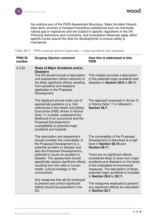wood

the onshore part of the PEIR Assessment Boundary. Major Accident Hazard sites store, process or transport hazardous substances such as chemicals, natural gas or explosives and are subject to specific regulations in the UK. Planning restrictions and constraints, and consultation distances apply within specific zones around the sites for developments to ensure safety is maintained.

#### <span id="page-11-0"></span>Table 28-3 PINS scoping opinion responses – major accidents and disasters

| <b>PINS ID</b><br>number | <b>Scoping Opinion comment</b>                                                                                                                                                                                                                                                                                                                                                                                                                                                                                 | How this is addressed in this<br><b>PEIR</b>                                                                                                                                                                                                                                                                                                                                                                                                                                  |
|--------------------------|----------------------------------------------------------------------------------------------------------------------------------------------------------------------------------------------------------------------------------------------------------------------------------------------------------------------------------------------------------------------------------------------------------------------------------------------------------------------------------------------------------------|-------------------------------------------------------------------------------------------------------------------------------------------------------------------------------------------------------------------------------------------------------------------------------------------------------------------------------------------------------------------------------------------------------------------------------------------------------------------------------|
| 3.3.20                   | <b>Risks of Major Accidents and/or</b><br><b>Disasters</b><br>The ES should include a description<br>and assessment (where relevant) of<br>the likely significant effects resulting<br>from accidents and disasters<br>applicable to the Proposed<br>Development.                                                                                                                                                                                                                                              | This chapter provides a description<br>of the potential major accidents and<br>disasters in Section 28.9 to 28.11.                                                                                                                                                                                                                                                                                                                                                            |
|                          | The Applicant should make use of<br>appropriate guidance (e.g. that<br>referenced in the Health and Safety<br>Executives (HSE) Annex to Advice<br>Note 11) to better understand the<br>likelihood of an occurrence and the<br><b>Proposed Development's</b><br>susceptibility to potential major<br>accidents and hazards.                                                                                                                                                                                     | The approach proposed in Annex G<br>of Advice Note 11 is followed in<br>Section 28.7.                                                                                                                                                                                                                                                                                                                                                                                         |
|                          | The description and assessment<br>should consider the vulnerability of<br>the Proposed Development to a<br>potential accident or disaster and<br>also the Proposed Development's<br>potential to cause an accident or<br>disaster. The assessment should<br>specifically assess significant effects<br>resulting from the risks to human<br>health, cultural heritage or the<br>environment.<br>Any measures that will be employed<br>to prevent and control significant<br>effects should be presented in the | The vulnerability of the Proposed<br>Development is described at a high<br>level in Section 28.10 and<br><b>Section 28.11.</b><br>There are no significant effects<br>considered likely to arise from major<br>accidents and disasters on the basis<br>of the embedded environmental<br>measures. The description of these<br>potential major accidents is included<br>in Section 28.9 to 28.11.<br>The measures employed to prevent<br>any significant effects are described |
|                          | ES.                                                                                                                                                                                                                                                                                                                                                                                                                                                                                                            | in Section 28.7.                                                                                                                                                                                                                                                                                                                                                                                                                                                              |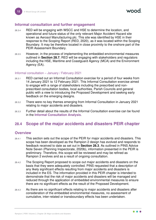### <span id="page-12-0"></span>**Informal consultation and further engagement**

- 28.3.4 RED will be engaging with WSCC and HSE to determine the location, and operational and future status of the only relevant Major Accident Hazard site known as Aerosol Manufacturing plc. This site was identified by HSE in their response to the Scoping Report (RED, 2020), as it was located within the Scoping Boundary. It may be therefore located in close proximity to the onshore part of the PEIR Assessment Boundary.
- 28.3.5 However, in the process of implementing the embedded environmental measures outlined in **Section [28.7](#page-19-0)**, RED will be engaging with stakeholders and regulators including the HSE, Maritime and Coastguard Agency (MCA) and the Environment Agency (EA).

#### Informal consultation – January / February 2021

- 28.3.1 RED carried out an Informal Consultation exercise for a period of four weeks from 14 January 2021 to 12 February 2021. This Informal Consultation exercise aimed to engage with a range of stakeholders including the prescribed and nonprescribed consultation bodies, local authorities, Parish Councils and general public with a view to introducing the Proposed Development and seeking early feedback on the emerging designs.
- 28.3.2 There were no key themes emerging from Informal Consultation in January 2021 relating to major accidents and disasters.
- 28.3.3 Further detail about the results of the Informal Consultation exercise can be found in the **Informal Consultation Analysis**.

# <span id="page-12-1"></span>**28.4 Scope of the major accidents and disasters PEIR chapter**

#### <span id="page-12-2"></span>**Overview**

- 28.4.1 This section sets out the scope of the PEIR for major accidents and disasters. This scope has been developed as the Rampion 2 design has evolved and responds to feedback received to date as set out in **Section [28.3](#page-10-0)**. As outlined in PINS Advice Note Seven (Planning Inspectorate, 2020b), information presented in the PEIR is preliminary. Therefore, this scope will be reviewed and may be refined as Rampion 2 evolves and as a result of ongoing consultation.
- 28.4.2 The Scoping Report proposed to scope out major accidents and disasters on the basis that they were adequately controlled. PINS requested that a description of any likely significant effects resulting from major accidents and disasters is included in the ES. The information provided in this PEIR chapter is intended to demonstrate that the risk of major accidents and disasters will be managed and reduced through the application of embedded environmental measures to ensure there are no significant effects as the result of the Proposed Development.
- 28.4.3 As there are no significant effects relating to major accidents and disasters after consideration of the embedded environmental measures, no assessment of cumulative, inter-related or transboundary effects has been undertaken.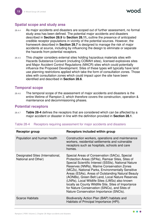# <span id="page-13-0"></span>**Spatial scope and study area**

- 28.4.4 As major accidents and disasters are scoped out of further assessment, no formal study area has been defined. The potential major accidents and disasters described in **Section [28.9](#page-33-0)** to **Section [28.11,](#page-39-0)** outline the presence of anticipated credible receptor populations in vicinity of the potential sources. However, the framework described in **Section [28.7](#page-19-0)** is designed to manage the risk of major accidents at source, including by influencing the design to eliminate or separate the hazards from potential receptors.
- 28.4.5 This chapter considers external sites holding hazardous materials sites with Hazards Substance Consent (including COMAH sites), licensed explosives sites and Major Accident Control Regulations (MACR) sites which could potentially influence the Proposed Development. Sites of these types will typically have land use planning restrictions applied which take the form of consultation zones. Those sites with consultation zones which could impact upon the site have been identified and described in **Section [28.6](#page-17-3)**.

#### <span id="page-13-1"></span>**Temporal scope**

28.4.6 The temporal scope of the assessment of major accidents and disasters is the entire lifetime of Rampion 2, which therefore covers the construction, operation & maintenance and decommissioning phases.

#### **Potential receptors**

28.4.7 **[Table 28-4](#page-13-2)** defines the receptors that are considered which can be affected by a major accident or disaster in line with the definition provided in **Section [28.1](#page-3-1)**.

| Receptor group                                          | Receptors included within group                                                                                                                                                                                                                                                                                                                                                                                                                                                                                                                                           |
|---------------------------------------------------------|---------------------------------------------------------------------------------------------------------------------------------------------------------------------------------------------------------------------------------------------------------------------------------------------------------------------------------------------------------------------------------------------------------------------------------------------------------------------------------------------------------------------------------------------------------------------------|
| Population and human health                             | Construction workers, operations and maintenance<br>workers, residential settlements and vulnerable<br>receptors such as hospitals, schools and care<br>homes.                                                                                                                                                                                                                                                                                                                                                                                                            |
| Designated Sites (International,<br>National and Other) | Special Areas of Conservation (SACs), Special<br>Protection Areas (SPAs), Ramsar Sites, Sites of<br>Special Scientific Interest (SSSIs), National Nature<br>Reserves (NNRs), Marine Conservation Zones<br>(MCZs), National Parks, Environmentally Sensitive<br>Areas (ESAs), Areas of Outstanding Natural Beauty<br>(AONBs), Green Belt Land, Local Nature Reserves<br>(LNRs), Local Wildlife Sites (LWSs) also known<br>locally as County Wildlife Site, Sites of Importance<br>for Nature Conservation (SINCs), and Sites of<br>Nature Conservation Importance (SNCIs). |
| <b>Scarce Habitats</b>                                  | Biodiversity Action Plan (BAP) habitats and<br>Habitats of Principal Importance (HPI).                                                                                                                                                                                                                                                                                                                                                                                                                                                                                    |

#### <span id="page-13-2"></span>Table 28-4 Receptors requiring assessment for major accidents and disasters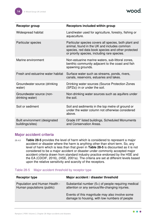| Receptor group                                    | <b>Receptors included within group</b>                                                                                                                                                                     |
|---------------------------------------------------|------------------------------------------------------------------------------------------------------------------------------------------------------------------------------------------------------------|
| Widespread habitat                                | Land/water used for agriculture, forestry, fishing or<br>aquaculture.                                                                                                                                      |
| Particular species                                | Particular species covers all species, both plant and<br>animal, found in the UK and includes common<br>species, red data book species and other protected<br>or priority species, including rare species. |
| Marine environment                                | Non-estuarine marine waters, sub-littoral zones,<br>benthic community adjacent to the coast and fish<br>spawning grounds.                                                                                  |
| Fresh and estuarine water habitat                 | Surface water such as streams, ponds, rivers,<br>canals, reservoirs, estuaries and lakes.                                                                                                                  |
| Groundwater source (drinking<br>water)            | Drinking water sources (Source Protection Zones<br>(SPZs)) in or under the soil.                                                                                                                           |
| Groundwater source (non-<br>drinking water)       | Non-drinking water sources such as aquifers under<br>the soil.                                                                                                                                             |
| Soil or sediment                                  | Soil and sediments in the top metre of ground or<br>under the water column not otherwise considered<br>above.                                                                                              |
| Built environment (designated<br>buildings/sites) | Grade I/II* listed buildings, Scheduled Monuments<br>and Conservation Areas.                                                                                                                               |

# <span id="page-14-0"></span>**Major accident criteria**

28.4.8 **[Table 28-5](#page-14-1)** provides the level of harm which is considered to represent a major accident or disaster where the harm is anything other than short term. So, any level of harm which is less than that given in **[Table 28-5](#page-14-1)** is discounted as it is not considered to be a major accident or disaster under commonly accepted major accident criteria drawn from standard industry practice endorsed by the HSE and the EA (CDOIF, 2016), (HSE, 2001a). The criteria are set at different levels based upon the relative sensitivity and scarcity of the receptors.

#### <span id="page-14-1"></span>Table 28-5 Major accident threshold by receptor type

| <b>Receptor type</b>                                        | Major accident / disaster threshold                                                                       |
|-------------------------------------------------------------|-----------------------------------------------------------------------------------------------------------|
| Population and Human Health -<br>Human populations (public) | Substantial number $(5+)$ of people requiring medical<br>attention or any serious/life-changing injuries. |
|                                                             | Events of this magnitude may also involve some<br>damage to housing, with low numbers of people           |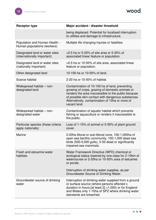wood.

| <b>Receptor type</b>                                          | Major accident / disaster threshold                                                                                                                                                                                                                                                 |
|---------------------------------------------------------------|-------------------------------------------------------------------------------------------------------------------------------------------------------------------------------------------------------------------------------------------------------------------------------------|
|                                                               | being displaced. Potential for localised interruption<br>to utilities and damage to infrastructure.                                                                                                                                                                                 |
| Population and Human Health -<br>Human populations (workers)  | Multiple life changing injuries or fatalities.                                                                                                                                                                                                                                      |
| Designated land or water sites<br>(internationally important) | >0.5 ha or 5-25% of site area or 5-25% of<br>associated linear feature or population.                                                                                                                                                                                               |
| Designated land or water sites<br>(nationally important)      | >0.5 ha or 10-50% of site area, associated linear<br>feature or population.                                                                                                                                                                                                         |
| Other designated land                                         | 10-100 ha or 10-50% of land.                                                                                                                                                                                                                                                        |
| Scarce habitat                                                | 2-20 ha or 10-50% of habitat.                                                                                                                                                                                                                                                       |
| Widespread habitat - non-<br>designated land                  | Contamination of 10-100 ha of land, preventing<br>growing of crops, grazing of domestic animals or<br>renders the area inaccessible to the public because<br>of possible skin contact with dangerous substances.<br>Alternatively, contamination of 10ha or more of<br>vacant land. |
| Widespread habitat – non-<br>designated water                 | Contamination of aquatic habitat which prevents<br>fishing or aquaculture or renders it inaccessible to<br>the public.                                                                                                                                                              |
| Particular species (these criteria<br>apply nationally)       | Loss of 1-10% of animal or 5-50% of plant ground<br>cover.                                                                                                                                                                                                                          |
| Marine                                                        | 2-20ha littoral or sub-littoral zone, 100-1,000ha of<br>open sea benthic community, 100-1,000 dead sea<br>birds (500-5,000 gulls), 5-50 dead or significantly<br>impaired sea mammals.                                                                                              |
| Fresh and estuarine water<br>habitats                         | Water Framework Directive (WFD) chemical or<br>ecological status lowered by one class for 2-10km of<br>watercourse or 2-20ha or 10-50% area of estuaries<br>or ponds.                                                                                                               |
|                                                               | Interruption of drinking water supplies, as per<br>Groundwater Source of Drinking Water.                                                                                                                                                                                            |
| Groundwater source of drinking<br>water                       | Interruption of drinking water supplied from a ground<br>or surface source (where persons affected x<br>duration in hours [at least $2$ ] >1,000) or for England<br>and Wales only 1-10ha of SPZ where drinking water<br>standards are breached.                                    |

 $\bullet\bullet\bullet$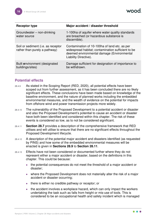| Receptor type                                                       | Major accident / disaster threshold                                                                                                                                        |
|---------------------------------------------------------------------|----------------------------------------------------------------------------------------------------------------------------------------------------------------------------|
| Groundwater – non-drinking<br>water source                          | 1-100ha of aquifer where water quality standards<br>are breached (or hazardous substance is<br>discernible).                                                               |
| Soil or sediment (i.e. as receptor<br>rather than purely a pathway) | Contamination of 10-100ha of land etc. as per<br>widespread habitat; contamination sufficient to be<br>deemed environmental damage (Environmental<br>Liability Directive). |
| Built environment (designated<br>buildings/sites)                   | Damage sufficient for designation of importance to<br>be withdrawn.                                                                                                        |

# <span id="page-16-0"></span>**Potential effects**

- 28.4.9 As stated in the Scoping Report (RED, 2020), all potential effects have been scoped out from further assessment, as it has been concluded there are no likely significant effects. These conclusions have been made based on knowledge of the baseline environment, and the nature of planned works including the embedded environmental measures, and the wealth of evidence on the potential for impacts from offshore wind and power transmission projects more widely.
- 28.4.10 The vulnerability of the Proposed Development to a potential accident or disaster and also the Proposed Development's potential to cause an accident or disaster have both been identified and considered within this chapter. The risk of these events is considered so low, as to not be considered significant.
- 28.4.11 **Section [28.7](#page-19-0)** provides a description of the comprehensive framework that RED utilises and will utilise to ensure that there are no significant effects throughout the Proposed Development lifecycle.
- 28.4.12 A description of the potential major accident and disasters identified (as requested by PINS) and how some of the embedded environmental measures will be enacted is given in **Sections [28.9](#page-33-0)** to **Section [28.11](#page-39-0)**.
- 28.4.13 Effects have not been considered or documented further where they do not represent either a major accident or disaster, based on the definitions in this chapter. This could be because:
	- ⚫ the potential consequences do not meet the threshold of a major accident or disaster;
	- where the Proposed Development does not materially alter the risk of a major accident or disaster occurring;
	- ⚫ there is either no credible pathway or receptor; or
	- the accident involves a workplace hazard, which can only impact the workers undertaking the task such as falls from height or mis-use of tools. This is considered to be an occupational health and safety incident which is managed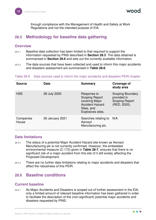through compliance with the Management of Health and Safety at Work Regulations and not the intended purpose of EIA.

# <span id="page-17-0"></span>**28.5 Methodology for baseline data gathering**

#### <span id="page-17-1"></span>**Overview**

- 28.5.1 Baseline data collection has been limited to that required to support the information requested by PINS described in **Section [28.3](#page-10-0)**. The data obtained is summarised in **Section [28.6](#page-17-3)** and sets out the currently available information.
- 28.5.2 The data sources that have been collected and used to inform this major accidents and disasters assessment are summarised in **[Table 28-6](#page-17-5)**.

#### <span id="page-17-5"></span>Table 28-6 Data sources used to inform the major accidents and disasters PEIR chapter

| <b>Source</b>      | <b>Date</b>            | <b>Summary</b>                                                                                                      | Coverage of<br>study area                                                       |
|--------------------|------------------------|---------------------------------------------------------------------------------------------------------------------|---------------------------------------------------------------------------------|
| <b>HSE</b>         | 28 July 2020           | Response to<br><b>Scoping Report</b><br>covering Major<br><b>Accident Hazard</b><br>Sites, and<br>Explosives sites. | <b>Scoping Boundary</b><br>provided in<br><b>Scoping Report</b><br>(RED, 2020). |
| Companies<br>House | <b>26 January 2021</b> | Searches relating to<br>Aerosol<br>Manufacturing plc.                                                               | N/A                                                                             |

#### <span id="page-17-2"></span>**Data limitations**

- 28.5.3 The status of a potential Major Accident Hazard site known as Aerosol Manufacturing plc is not currently confirmed. However, the embedded environmental measure (C-173) given in **[Table 28-7](#page-20-1)**, ensures that there is no significant risk of a major accident from this site (if it still exists) affecting the Proposed Development.
- 28.5.4 There are no further data limitations relating to major accidents and disasters that affect the robustness of this PEIR.

# <span id="page-17-3"></span>**28.6 Baseline conditions**

#### <span id="page-17-4"></span>**Current baseline**

28.6.1 As Major Accidents and Disasters is scoped out of further assessment in the EIA, only a limited amount of relevant baseline information has been gathered in order to facilitate the description of the (non-significant) potential major accidents and disasters requested by PINS.

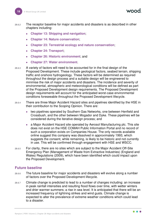- 28.6.2 The receptor baseline for major accidents and disasters is as described in other chapters including:
	- ⚫ **Chapter 13: Shipping and navigation**;
	- ⚫ **Chapter 14: Nature conservation**;
	- ⚫ **Chapter 23: Terrestrial ecology and nature conservation**;
	- ⚫ **Chapter 24: Transport**;
	- ⚫ **Chapter 26: Historic environment**; and
	- ⚫ **Chapter 27: Water environment**.
- 28.6.3 A variety of factors will need to be accounted for in the final design of the Proposed Development. These include geological factors, seabed terrain, shipping traffic and onshore hydrogeology. These factors will be determined as required throughout the design process and a suitable design will be engineered to minimise the risk of major accidents and disasters. The incidence and severity of environmental, atmospheric and meteorological conditions will be defined as part of the Proposed Development design requirements. The Proposed Development design requirements will account for the anticipated worst-case environmental conditions foreseeable throughout the Proposed Development lifecycle.
- 28.6.4 There are three Major Accident Hazard sites and pipelines identified by the HSE in their contribution to the Scoping Opinion. There are:
	- two pipelines operated by Southern Gas Networks, one between Henfield and Crossbush, and the other between Mogador and Dyke. These pipelines will be considered during the iterative design process; and
	- a Major Accident Hazard site operated by Aerosol Manufacturing plc. This site does not exist on the HSE COMAH Public Information Portal and no record of such a corporation exists on Companies House. The only records available online suggest this company was dissolved in approximately 1993, which suggests the consent, while remaining, is likely to be historic and not currently in use. This will be confirmed through engagement with HSE and WSCC.
- 28.6.5 For clarity, there are no sites which are subject to the Major Accident Off-Site Emergency Plan (Management of Waste from Extractive Industries) (England and Wales) Regulations (2009), which have been identified which could impact upon the Proposed Development.

#### <span id="page-18-0"></span>**Future baseline**

- 28.6.6 The future baseline for major accidents and disasters will evolve along a number of factors over the Proposed Development lifecycle.
- 28.6.7 Climate change is predicted to lead to a number of changes including: an increase in peak rainfall intensities and resulting flood flows over time, with wetter winters and drier warmer summers; a rise in sea level. It is anticipated that there will be an increased frequency of lightning strikes and wind gusts. Climate change is expected to alter the prevalence of extreme weather conditions which could lead to a disaster.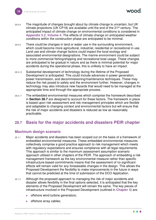- 28.6.8 The magnitude of changes brought about by climate change is uncertain, but UK climate projections (UK CP18) are available until the end of the 21st century. The anticipated impact of climate change on environmental conditions is considered in **Appendix 5.2, Volume 4**. The effects of climate change on anticipated weather conditions within the construction phase are anticipated to be minimal.
- 28.6.9 There could be changes in land or water use in the surrounding environment, which could become more agricultural, industrial, residential or recreational in use. Land use and climate change factors could impact the local ecology and associated environmental designations. The marine environment could be subject to more commercial fishing/shipping and recreational boat usage. These changes are anticipated to be gradual in nature and as there is minimal potential for major accidents during the operational phase, this is unlikely to have an impact.
- 28.6.10 Substantial development of technology during the lifetime of the Proposed Development is anticipated. This could include advances in power generation, power transmission, and decommissioning/maintenance techniques. These may reduce the risk posed to safety and the environment further. However, changes in technology may also introduce new hazards that would need to be managed at the appropriate time and through the appropriate process.
- 28.6.11 The embedded environmental measures which comprise the framework described in **Section [28.7](#page-19-0)** are designed to account for these factors. The framework in place is based upon risk assessment and risk management principles which are flexible and adaptable to changing context and environmental factors but will ensure that the risk of major accidents and disasters is reduced as low as reasonably practicable.

# <span id="page-19-0"></span>**28.7 Basis for the major accidents and disasters PEIR chapter**

#### <span id="page-19-1"></span>**Maximum design scenario**

- 28.7.1 Major accidents and disasters has been scoped out on the basis of a framework of embedded environmental measures. These embedded environmental measures collectively comprise a good practice approach to risk management which meets with regulatory expectations and ensures compliance with all legal requirements. This approach is similar to the maximum assessment assumption scenario approach utilised in other chapters of the PEIR. The approach of embedding a risk management framework as the key environmental measure rather than specific infrastructure-based commitments means that the assessment of no significant effects will remain valid for any foreseeable changes in the design. This allows the Proposed Development the flexibility to make improvements in the future in ways that cannot be predicted at the time of submission of the DCO Application.
- 28.7.2 Although the proposed approach to managing the risk of major accidents and disaster allows flexibility in the final options selected, it is anticipated that the key elements of the Proposed Development will remain the same. The key pieces of infrastructure involved in the Proposed Development (outlined in **Chapter 4**) are:
	- offshore wind turbine generators;
	- offshore array cables;

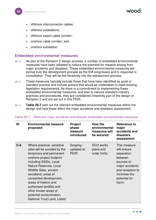- offshore interconnector cables;
- ⚫ offshore substations;
- ⚫ offshore export cable corridor;
- ⚫ onshore cable corridor; and
- ⚫ onshore substation.

#### <span id="page-20-0"></span>**Embedded environmental measures**

- 28.7.3 As part of the Rampion 2 design process, a number of embedded environmental measures have been adopted to reduce the potential for impacts arising from major accidents and disasters. These embedded environmental measures will evolve over the development process as the EIA progresses and in response to consultation. They will be fed iteratively into the assessment process.
- 28.7.4 These measures typically include those that have been identified as good or standard practice and include actions that would be undertaken to meet existing legislation requirements. As there is a commitment to implementing these embedded environmental measures, and also to various standard industry practices and procedures, they are considered inherently part of the design of Rampion 2 and are set out in this PEIR.
- 28.7.5 **[Table 28-7](#page-20-1)** sets out the relevant embedded environmental measures within the design and how these affect the major accidents and disasters assessment.

| ID    | <b>Environmental measure</b><br>proposed                                                                                                                                                                                                                                                                                                                                                         | <b>Project</b><br>phase<br>measure<br>introduced | How the<br>environmental<br>measures will<br>be secured | <b>Relevance to</b><br>major<br>accidents and<br>disasters<br>assessment                                                                            |
|-------|--------------------------------------------------------------------------------------------------------------------------------------------------------------------------------------------------------------------------------------------------------------------------------------------------------------------------------------------------------------------------------------------------|--------------------------------------------------|---------------------------------------------------------|-----------------------------------------------------------------------------------------------------------------------------------------------------|
| $C-6$ | Where practical, sensitive<br>sites will be avoided by the<br>temporary and permanent<br>onshore project footprint<br>including SSSIs, Local<br>Nature Reserves, Local<br><b>Wildlife Sites, ancient</b><br>woodland, areas of<br>consented development,<br>areas of historic and<br>authorised landfills and<br>other known areas of<br>potential contamination,<br>National Trust Land, Listed | Scoping -<br>updated at<br><b>PEIR</b>           | DCO works<br>plans and<br>order limits.                 | This measure<br>will ensure<br>separation<br>between<br>sources of<br>major accidents<br>and receptors to<br>minimise the<br>potential for<br>harm. |

#### <span id="page-20-1"></span>Table 28-7 Relevant major accidents and disaster embedded environmental measures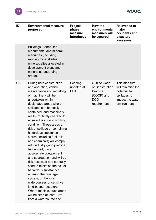wood.

| ID    | <b>Environmental measure</b><br>proposed                                                                                                                                                                                                                                                                                                                                                                                                                                                                                                                                                                                                                                                                                                                                                                                             | <b>Project</b><br>phase<br>measure<br>introduced | How the<br>environmental<br>measures will<br>be secured                                        | <b>Relevance to</b><br>major<br>accidents and<br>disasters<br>assessment                               |
|-------|--------------------------------------------------------------------------------------------------------------------------------------------------------------------------------------------------------------------------------------------------------------------------------------------------------------------------------------------------------------------------------------------------------------------------------------------------------------------------------------------------------------------------------------------------------------------------------------------------------------------------------------------------------------------------------------------------------------------------------------------------------------------------------------------------------------------------------------|--------------------------------------------------|------------------------------------------------------------------------------------------------|--------------------------------------------------------------------------------------------------------|
|       | <b>Buildings, Scheduled</b><br>monuments, and mineral<br>resources (including<br>existing mineral sites,<br>minerals sites allocated in<br>development plans and<br>mineral safeguarding<br>areas).                                                                                                                                                                                                                                                                                                                                                                                                                                                                                                                                                                                                                                  |                                                  |                                                                                                |                                                                                                        |
| $C-8$ | During both construction<br>and operation, vehicle<br>maintenance and refuelling<br>of machinery will be<br>undertaken within<br>designated areas where<br>spillages can be easily<br>contained, and machinery<br>will be routinely checked to<br>ensure it is in good working<br>condition. These areas at<br>risk of spillage or containing<br>hazardous substance<br>stores (including fuel, oils<br>and chemicals) will comply<br>with industry good practice,<br>be bunded, have<br>appropriate containment<br>and segregation and will be<br>risk assessed and carefully<br>sited to minimise the risk of<br>hazardous substances<br>entering the drainage<br>system, or the local<br>watercourses or sensitive<br>land-based receptors.<br>Where feasible, such areas<br>will be sited at least 10m<br>from a watercourse and | Scoping -<br>updated at<br><b>PEIR</b>           | <b>Outline Code</b><br>of Construction<br>Practice<br>(COCP) and<br><b>DCO</b><br>requirement. | This measure<br>will minimise the<br>potential for<br>spillages to<br>impact the water<br>environment. |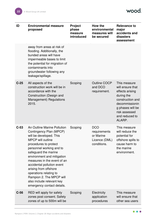wood.

| ID     | <b>Environmental measure</b><br>proposed                                                                                                                                                                                                                                                                                                                                                                                        | <b>Project</b><br>phase<br>measure<br>introduced | <b>How the</b><br>environmental<br>measures will<br>be secured | <b>Relevance to</b><br>major<br>accidents and<br>disasters<br>assessment                                                                                                 |
|--------|---------------------------------------------------------------------------------------------------------------------------------------------------------------------------------------------------------------------------------------------------------------------------------------------------------------------------------------------------------------------------------------------------------------------------------|--------------------------------------------------|----------------------------------------------------------------|--------------------------------------------------------------------------------------------------------------------------------------------------------------------------|
|        | away from areas at risk of<br>flooding. Additionally, the<br>bunded areas will have<br>impermeable bases to limit<br>the potential for migration of<br>contaminants into<br>groundwater following any<br>leakage/spillage.                                                                                                                                                                                                      |                                                  |                                                                |                                                                                                                                                                          |
| $C-25$ | All aspects of the<br>construction work will be in<br>accordance with the<br>Construction (Design and<br>Management) Regulations<br>2015.                                                                                                                                                                                                                                                                                       | Scoping                                          | <b>Outline COCP</b><br>and DCO<br>requirement.                 | This measure<br>will ensure that<br>effects arising<br>during the<br>construction and<br>decommissionin<br>g phases will be<br>risk assessed<br>and reduced to<br>ALARP. |
| $C-53$ | An Outline Marine Pollution<br>Contingency Plan (MPCP)<br>will be developed. This<br><b>MPCP will outline</b><br>procedures to protect<br>personnel working and to<br>safeguard the marine<br>environment and mitigation<br>measures in the event of an<br>accidental pollution event<br>arising from offshore<br>operations relating to<br>Rampion 2. The MPCP will<br>also include relevant key<br>emergency contact details. | Scoping                                          | <b>DCO</b><br>requirements<br>or Marine<br>conditions.         | This measure<br>will reduce the<br>potential for<br>Licence (DML) offshore spills to<br>cause harm to<br>the marine<br>environment.                                      |
| $C-56$ | RED will apply for safety<br>zones post consent. Safety<br>zones of up to 500m will be                                                                                                                                                                                                                                                                                                                                          | Scoping                                          | Electricity<br>application<br>procedures                       | This measure<br>will ensure that<br>other sea users                                                                                                                      |

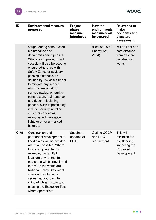wood.

| ID     | <b>Environmental measure</b><br>proposed                                                                                                                                                                                                                                                                                                                                                                                                                                                                                                      | Project<br>phase<br>measure<br>introduced | <b>How the</b><br>environmental<br>measures will<br>be secured | <b>Relevance to</b><br>major<br>accidents and<br>disasters<br>assessment                |
|--------|-----------------------------------------------------------------------------------------------------------------------------------------------------------------------------------------------------------------------------------------------------------------------------------------------------------------------------------------------------------------------------------------------------------------------------------------------------------------------------------------------------------------------------------------------|-------------------------------------------|----------------------------------------------------------------|-----------------------------------------------------------------------------------------|
|        | sought during construction,<br>maintenance and<br>decommissioning phases.<br>Where appropriate, guard<br>vessels will also be used to<br>ensure adherence with<br>Safety Zones or advisory<br>passing distances, as<br>defined by risk assessment,<br>to mitigate any impact<br>which poses a risk to<br>surface navigation during<br>construction, maintenance<br>and decommissioning<br>phases. Such impacts may<br>include partially installed<br>structures or cables,<br>extinguished navigation<br>lights or other unmarked<br>hazards. |                                           | (Section 95 of<br><b>Energy Act</b><br>2004).                  | will be kept at a<br>safe distance<br>from offshore<br>construction<br>works.           |
| $C-75$ | Construction and<br>permanent development in<br>flood plains will be avoided<br>wherever possible. Where<br>this is not possible (for<br>example, the landfall<br>location) environmental<br>measures will be developed<br>to ensure the works are<br><b>National Policy Statement</b><br>compliant, including a<br>sequential approach to<br>siting of infrastructure and<br>passing the Exception Test<br>where appropriate.                                                                                                                | Scoping -<br>updated at<br><b>PEIR</b>    | Outline COCP<br>and DCO<br>requirement                         | This will<br>minimise the<br>risk flooding<br>impacting the<br>Proposed<br>Development. |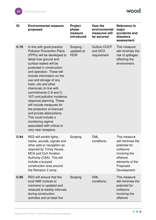| ID     | <b>Environmental measure</b><br>proposed                                                                                                                                                                                                                                                                                                                                                                                                                                                                                                                                                                  | <b>Project</b><br>phase<br>measure<br>introduced | How the<br>environmental<br>measures will<br>be secured | <b>Relevance to</b><br>major<br>accidents and<br>disasters<br>assessment                                                                     |
|--------|-----------------------------------------------------------------------------------------------------------------------------------------------------------------------------------------------------------------------------------------------------------------------------------------------------------------------------------------------------------------------------------------------------------------------------------------------------------------------------------------------------------------------------------------------------------------------------------------------------------|--------------------------------------------------|---------------------------------------------------------|----------------------------------------------------------------------------------------------------------------------------------------------|
| $C-76$ | In line with good practice<br><b>Pollution Prevention Plans</b><br>(PPPs) will be developed to<br>detail how ground and<br>surface waters will be<br>protected in construction<br>and operation. These will<br>include information on the<br>use and storage of any<br>fuels, oils and other<br>chemicals (in line with<br>commitments C-8 and C-<br>167) and pollution incidence<br>response planning. These<br>will include measures for<br>the protection of licenced<br>and private abstractions.<br>This could include a<br>monitoring regime<br>associated with critical or<br>very near receptors. | Scoping -<br>updated at<br><b>PEIR</b>           | <b>Outline COCP</b><br>and DCO<br>requirement           | This measure<br>will minimise the<br>risk of spillages<br>affecting the<br>environment.                                                      |
| $C-84$ | RED will exhibit lights,<br>marks, sounds, signals and<br>other aids to navigation as<br>required by Trinity House,<br><b>MCA and Civil Aviation</b><br>Authority (CAA). This will<br>include a buoyed<br>construction area around<br>the Rampion 2 array.                                                                                                                                                                                                                                                                                                                                                | Scoping                                          | <b>DML</b><br>conditions.                               | This measure<br>will minimise the<br>potential for<br>collisions<br>involving the<br>offshore<br>elements of the<br>Proposed<br>Development. |
| $C-85$ | RED will ensure that the<br>local NtM (notices to<br>mariners) is updated and<br>reissued at weekly intervals<br>during construction<br>activities and at least five                                                                                                                                                                                                                                                                                                                                                                                                                                      | Scoping                                          | <b>DML</b><br>conditions.                               | This measure<br>will minimise the<br>potential for<br>collisions<br>involving the<br>offshore                                                |

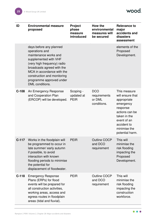wood.

| ID      | <b>Environmental measure</b><br>proposed                                                                                                                                                                                                                             | <b>Project</b><br>phase<br>measure<br>introduced | How the<br>environmental<br>measures will<br>be secured | <b>Relevance to</b><br>major<br>accidents and<br>disasters<br>assessment                                                                                                    |
|---------|----------------------------------------------------------------------------------------------------------------------------------------------------------------------------------------------------------------------------------------------------------------------|--------------------------------------------------|---------------------------------------------------------|-----------------------------------------------------------------------------------------------------------------------------------------------------------------------------|
|         | days before any planned<br>operations and<br>maintenance works and<br>supplemented with VHF<br>(very high frequency) radio<br>broadcasts agreed with the<br>MCA in accordance with the<br>construction and monitoring<br>programme approved under<br>DML conditions. |                                                  |                                                         | elements of the<br>Proposed<br>Development.                                                                                                                                 |
| $C-108$ | An Emergency Response<br>and Cooperation Plan<br>(ERCOP) will be developed.                                                                                                                                                                                          | Scoping -<br>updated at<br><b>PEIR</b>           | <b>DCO</b><br>requirements<br>or DML<br>conditions.     | This measure<br>will ensure that<br>appropriate<br>emergency<br>response<br>actions can be<br>taken in the<br>event of an<br>accident to<br>minimise the<br>potential harm. |
| $C-117$ | Works in the floodplain will<br>be programmed to occur in<br>late summer/ early autumn<br>if possible, to avoid<br>interaction with known<br>flooding periods to minimise<br>the potential for<br>displacement of floodwater.                                        | <b>PEIR</b>                                      | <b>Outline COCP</b><br>and DCO<br>requirement           | This will<br>minimise the<br>risk flooding<br>impacting the<br>Proposed<br>Development.                                                                                     |
| $C-118$ | <b>Emergency Response</b><br>Plans (ERPs) for flood<br>events will be prepared for<br>all construction activities,<br>working areas, access and<br>egress routes in floodplain<br>areas (tidal and fluvial).                                                         | <b>PEIR</b>                                      | Outline COCP<br>and DCO<br>requirement                  | This will<br>minimise the<br>risk flooding<br>impacting the<br>construction<br>workforce.                                                                                   |

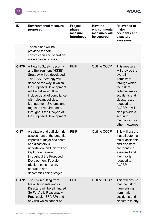wood.

 $\bullet\bullet\bullet$ 

| ID      | <b>Environmental measure</b><br>proposed                                                                                                                                                                                                                                                                                                                                          | <b>Project</b><br>phase<br>measure<br>introduced | How the<br>environmental<br>measures will<br>be secured | <b>Relevance to</b><br>major<br>accidents and<br>disasters<br>assessment                                                                                                                                                                               |
|---------|-----------------------------------------------------------------------------------------------------------------------------------------------------------------------------------------------------------------------------------------------------------------------------------------------------------------------------------------------------------------------------------|--------------------------------------------------|---------------------------------------------------------|--------------------------------------------------------------------------------------------------------------------------------------------------------------------------------------------------------------------------------------------------------|
|         | These plans will be<br>provided for both<br>construction and operation/<br>maintenance phases.                                                                                                                                                                                                                                                                                    |                                                  |                                                         |                                                                                                                                                                                                                                                        |
| $C-170$ | A Health, Safety, Security<br>and Environment (HSSE)<br>Strategy will be developed.<br>The HSSE Strategy will<br>describe the way in which<br>the Proposed Development<br>will be delivered. It will<br>include detail of compliance<br>with relevant policies,<br>Management Systems and<br>regulatory requirements,<br>throughout the lifecycle of<br>the Proposed Development. | <b>PEIR</b>                                      | Outline COCP                                            | This measure<br>will provide the<br>overall<br>framework<br>through which<br>the risk of<br>potential major<br>accidents and<br>disasters are<br>reduced to<br><b>ALARP.</b> It will<br>also provide a<br>securing<br>mechanism for<br>other measures. |
| $C-171$ | A suitable and sufficient risk<br>assessment of the potential<br>impacts of major accidents<br>and disasters is<br>undertaken, and this will be<br>kept under review<br>throughout the Proposed<br>Development lifecycle<br>(design, construction,<br>operation and<br>decommissioning stages).                                                                                   | <b>PEIR</b>                                      | Outline COCP                                            | This will ensure<br>that all potential<br>major accidents<br>and disasters<br>are identified,<br>assessed and<br>their risk is<br>reduced to<br><b>ALARP</b>                                                                                           |
| $C-172$ | The risk resulting from<br>Major Accidents and/or<br>Disasters will be eliminated<br>So Far As Is Reasonably<br>Practicable (SFAIRP) and<br>any risk which cannot be                                                                                                                                                                                                              | <b>PEIR</b>                                      | <b>Outline COCP</b>                                     | This will ensure<br>that the risk of<br>harm arising<br>from major<br>accidents and<br>disasters to any                                                                                                                                                |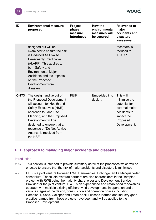| ID      | <b>Environmental measure</b><br>proposed                                                                                                                                                                                                                                                         | Project<br>phase<br>measure<br>introduced | <b>How the</b><br>environmental<br>measures will<br>be secured | <b>Relevance to</b><br>major<br>accidents and<br>disasters<br>assessment                                               |
|---------|--------------------------------------------------------------------------------------------------------------------------------------------------------------------------------------------------------------------------------------------------------------------------------------------------|-------------------------------------------|----------------------------------------------------------------|------------------------------------------------------------------------------------------------------------------------|
|         | designed out will be<br>examined to ensure the risk<br>is Reduced As Low As<br><b>Reasonably Practicable</b><br>(ALARP). This applies to<br>both Safety and<br><b>Environmental Major</b><br>Accidents and the impacts<br>on the Proposed<br>Development from<br>disasters.                      |                                           |                                                                | receptors is<br>reduced to<br>ALARP.                                                                                   |
| $C-173$ | The design and layout of<br>the Proposed Development<br>will account for Health and<br>Safety Executive's (HSE)<br>approach to Land Use<br>Planning, and the Proposed<br>Development will be<br>designed to ensure that a<br>response of 'Do Not Advise<br>Against' is received from<br>the HSE. | <b>PEIR</b>                               | Embedded into<br>design.                                       | This will<br>minimise the<br>potential for<br>external major<br>accidents to<br>impact the<br>Proposed<br>Development. |

# <span id="page-27-0"></span>**RED approach to managing major accidents and disasters**

#### **Introduction**

- 28.7.6 This section is intended to provide summary detail of the processes which will be enacted to ensure that the risk of major accidents and disasters is minimised.
- 28.7.7 RED is a joint venture between RWE Renewables, Enbridge, and a Macquarie-led consortium. These joint venture partners are also shareholders in the Rampion 1 project, with RWE being the majority shareholder and Development Service Provider for the joint venture. RWE is an experienced and established renewables operator with multiple existing offshore wind developments in operation and at various stages of the design, construction and operation phases including Rampion 1, Sofia, Galloper and Triton Knoll. Lessons learned and industry good practice learned from these projects have been and will be applied to the Proposed Development.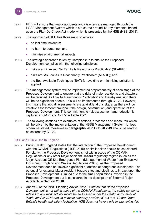- 28.7.8 RED will ensure that major accidents and disasters are managed through the HSSE Management System which is structured around 12 key elements, based upon the Plan-Do-Check-Act model which is presented by the HSE (HSE, 2013).
- 28.7.9 The approach of RED has three main objectives:
	- ⚫ no lost time incidents;
	- no harm to personnel; and
	- minimise environmental impacts.
- 28.7.10 The strategic approach taken by Rampion 2 is to ensure the Proposed Development complies with the following principles:
	- ⚫ risks are minimised 'So Far As Is Reasonably Practicable' (SFAIRP);
	- ⚫ risks are 'As Low As Is Reasonably Practicable' (ALARP); and
	- the Best Available Techniques (BAT) for avoiding or minimising pollution is applied.
- 28.7.11 The management system will be implemented proportionately at each stage of the Proposed Development to ensure that the risks of major accidents and disasters will be reduced 'As Low As Reasonably Practicable' and thereby ensuring there will be no significant effects. This will be implemented through C-170. However, this means that not all assessments are available at this stage, as there will be iterative assessment throughout the design, construction, and operation of the Proposed Development. This commitment to risk assessment and reduction is captured in C-171 and C-172 in **[Table 28-7](#page-20-1)**.
- 28.7.12 The following sections are examples of actions, processes and measures which will be driven by the implementation of the HSSE Management System. Unless otherwise stated, measures in **paragraphs [28.7.15](#page-29-0)** to **[28.7.43](#page-32-1)** should be read to be secured by C-170.

#### HSE and Public Health England

- 28.7.13 Public Health England states that the interaction of the Proposed Development with the COMAH Regulations (HSE, 2015) or similar sites should be considered. For clarity, the Proposed Development is not within scope of the COMAH Regulations or any other Major Accident Hazard regulatory regime (such as the Major Accident Off-Site Emergency Plan (Management of Waste from Extractive Industries) (England and Wales) Regulations (2009), as the Proposed Development does not involve significant quantities of dangerous substances. The potential for external Major Accident Hazard sites and pipelines to impact upon the Proposed Development is limited due to the small populations involved in the Proposed Development but is considered in the description of External Major Accidents in **Section [28.10](#page-37-0)**.
- 28.7.14 Annex G of the PINS Planning Advice Note 11 states that "*If the Proposed Development is not within scope of the COMAH Regulations, the safety concerns related to any work activity would be addressed under the Health and Safety at Work, etc Act 1974 and its relevant statutory provisions*" but that "*Under Great Britain's health and safety legislation, HSE does not have a role in examining risk*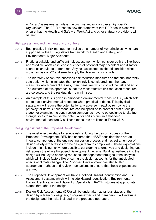*or hazard assessments unless the circumstances are covered by specific regulations*". The PEIR presents how the framework that RED has in place will ensure that the Health and Safety at Work Act and other statutory provisions will be met.

#### Risk assessment and the hierarchy of controls

- <span id="page-29-0"></span>28.7.15 Best practice in risk management relies on a number of key principles, which are supported by the UK legislative framework for Health and Safety, and Environmental Major Accidents.
- 28.7.16 Firstly, a suitable and sufficient risk assessment which consider both the likelihood and 'credible worst case' consequences of potential major accident and disaster scenarios should be undertaken. Any risk assessments should consider 'what more can be done?' and seek to apply the 'hierarchy of controls'.
- 28.7.17 The hierarchy of controls prioritises risk reduction measures so that the inherently safe option which eliminates the risk entirely is considered first, then any measures which prevent the risk, then measures which control the risk and so on. The outcome of this approach is that the most effective risk reduction measures are selected, and the residual risk is minimised.
- 28.7.18 An example of this is given in embedded environmental measure C-6, which sets out to avoid environmental receptors when practical to do so. This physical separation will reduce the potential for any adverse impact by removing the pathway for harm. Other measures can be specified to prevent harm at design stage, for example, the construction compounds have to be designed to site fuel storage so as to minimise the potential for spills of fuel in embedded environmental measure C-8. These measures are listed in **[Table 28-7](#page-20-1)**.

#### Designing risk out of the Proposed Development

- 28.7.19 The most effective stage to reduce risk is during the design process of the Proposed Development. RED has ensured that HSSE considerations are an integral component of the engineering design process and has set a number of design safety expectations for the design team to comply with. These expectations include minimising risk where possible, considering alternatives and designing out risk across the whole Proposed Development lifecycle. Building resilience into the design will be key to ensuring robust risk management throughout the lifecycle, which will include factors like ensuring the design accounts for the anticipated effects of climate change. The Proposed Development has also built-in appropriate methods and review mechanisms to ensure that these expectations are met.
- 28.7.20 The Proposed Development will have a defined Hazard Identification and Risk Assessment system, which will include Hazard Identification, Environmental Hazard Identification and Hazard & Operability (HAZOP) studies at appropriate stages throughout the design.
- 28.7.21 Design Risk Assessments (DRA) will be undertaken at various stages of the design by a team of designers, discipline experts and managers. It will evaluate the design and the risks included in the proposed approach.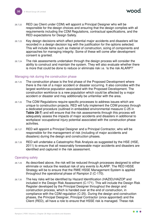- 28.7.22 RED (as Client under CDM) will appoint a Principal Designer who will be responsible for the design choices and ensuring that the design complies with all requirements including the CDM Regulations, contractual specifications, and the RED expectations for Design Safety.
- 28.7.23 Key design decisions which affect potential major accidents and disasters will be recorded in a design decision log with the justification for the options selected. This will include items such as material of construction, sizing of components and approaches for managing integrity. Some of these will come after development consent is granted.
- 28.7.24 The risk assessments undertaken through the design process will consider the ability to construct and maintain the system. They will also evaluate whether there is more that could be done to reduce or eliminate risk i.e. 'is the risk ALARP?'

#### Managing risk during the construction phase

- 28.7.25 The construction phase is the first phase of the Proposed Development where there is the risk of a major accident or disaster occurring. It also coincides with the largest workforce population associated with the Proposed Development. The construction workforce is a new population which could be affected by a major accident or disaster and may additionally be unfamiliar with the area.
- 28.7.26 The CDM Regulations require specific processes to address issues which are unique to construction projects. RED will fully implement the CDM process through a dedicated procedure (outlined in embedded environmental measure C-25 in **[Table 28-7](#page-20-1)**) and will ensure that the risk assessments through this process will adequately assess the impacts of major accidents and disasters in additional to workplace/ occupational injury potential associated with the construction phase activities.
- 28.7.27 RED will appoint a Principal Designer and a Principal Contractor, who will be responsible for the management of risk (including of major accidents and disasters) during the design and construction phases.
- 28.7.28 RED will undertake a Catastrophic Risk Analysis as suggested by the HSE (HSE, 2011) to ensure that all reasonably foreseeable major accidents and disasters are identified and captured in the risk assessment.

#### Operating safely

- 28.7.29 As described above, the risk will be reduced through processes designed to either eliminate or reduce the residual risk of any events to ALARP. The RED HSSE Strategy will be to ensure that the RWE HSSE Management System is applied throughout the operational phase of Rampion 2 (C-170).
- 28.7.30 The key risks will be identified by Hazard Identification (HAZID)/HAZOP and included in the Design Risk Assessment (C-171). This will include the Design Risk Register developed by the Principal Designer throughout the design and construction process, which is handed over at the end of construction, in compliance with the CDM regulation (C-25). During the design and construction phases, the Principal Designer, Principal Contractor (once appointed) and the Client (RED), all have a role to ensure that HSSE risk is managed. These risk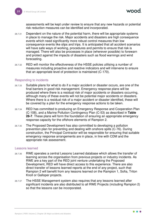assessments will be kept under review to ensure that any new hazards or potential risk reduction measures can be identified and incorporated.

- 28.7.31 Dependent on the nature of the potential harm, there will be appropriate systems in place to manage the risk. Major accidents and disasters are high consequence events which need significantly more robust control measures than low consequence events like slips and trips. It is anticipated that all accident scenarios will have safe ways of working, procedures and permits to ensure that risk is managed. There will also be processes in place (wherever possible) to forewarn and protect against the impacts of disasters such as flood warnings and wind forecasting.
- 28.7.32 RED will monitor the effectiveness of the HSSE policies utilising a number of measures including proactive and reactive indicators and will intervene to ensure that an appropriate level of protection is maintained (C-170).

#### Responding to incidents

- 28.7.33 Suitable plans for what to do if a major accident or disaster occurs, are one of the final barriers in good risk management. Emergency response plans will be produced where there is a residual risk of major accidents or disasters occurring, although many of these events will not be potential major accidents or disasters. Where there is a residual risk of a major accident or disaster identified, these will be covered by a plan for the emergency response actions to be taken.
- 28.7.34 RED has committed to producing an Emergency Response and Cooperation Plan (C-108), and a Marine Pollution Contingency Plan (C-53) as described in **[Table](#page-20-1)  [28-7](#page-20-1)**. These plans will form the foundation of ensuring an appropriate emergency response capacity for the offshore elements of Rampion 2.
- 28.7.35 The Proposed Development has also committed to developing a pollution prevention plan for preventing and dealing with onshore spills (C-76). During construction, the Principal Contractor will be responsible for ensuring that suitable emergency response arrangements are in place, in line with CDM and the appropriate risk assessment.

#### Lessons learned

- 28.7.36 RWE operates a central Lessons Learned database which allows the transfer of learning across the organisation from previous projects or industry incidents. As RWE are a key part of the RED joint venture undertaking the Proposed Development, RED will have direct access to this experience. There are also direct transfer of lessons learned reports at the end of any project, such that Rampion 2 will benefit from any lessons learned on the Rampion 1, Sofia, Triton Knoll or Galloper projects.
- 28.7.37 The HSSE Management system also requires that any lessons learned after significant incidents are also distributed to all RWE Projects (including Rampion 2) so that the lessons can be incorporated.

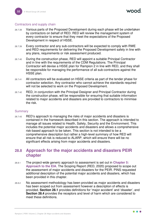#### Contractors and supply chain

- 28.7.38 Various parts of the Proposed Development during each phase will be undertaken by contractors on behalf of RED. RED will review the management system of every contractor to ensure that they meet the expectations of the Proposed Development in respect of HSSE.
- 28.7.39 Every contractor and any sub-contractors will be expected to comply with RWE and RED requirements for delivering the Proposed Development safely in line with any plans, requirements or risk assessment produced.
- 28.7.40 During the construction phase, RED will appoint a suitable Principal Contractor and in line with the requirements of the CDM Regulations. The Principal Contractor will devise a HSSE plan for Rampion 2 in line with RED, and they shall be responsible for managing the performance of all sub-contractors against the HSSE plan.
- 28.7.41 All contractors will be evaluated on HSSE criteria as part of the tender phase for contractor selection. Any contractor who cannot achieve the standards required will not be selected to work on the Proposed Development.
- 28.7.42 RED, in conjunction with the Principal Designer and Principal Contractor during the construction phase, will be responsible for ensuring that suitable information related to major accidents and disasters are provided to contractors to minimise the risk.

#### **Summary**

<span id="page-32-1"></span>28.7.43 RED's approach to managing the risks of major accidents and disasters is contained in the framework described in this section. The approach is intended to manage all issues related to Health, Safety, Security and the Environment. This includes the potential major accidents and disasters and allows a comprehensive risk-based approach to be taken. This section is not intended to be a comprehensive description but rather a high-level summary of how RED will ensure that all risk is reduced to ALARP, which will ensure there will be no significant effects arising from major accidents and disasters.

# <span id="page-32-0"></span>**28.8 Approach for the major accidents and disasters PEIR chapter**

- 28.8.1 The project-wide generic approach to assessment is set out in **Chapter 5: Approach to the EIA**. The Scoping Report (RED, 2020) proposed to scope out the assessment of major accidents and disasters for the PEIR. PINS requested additional description of the potential major accidents and disasters, which has been provided in this chapter.
- 28.8.2 No assessment methodology has been provided as major accidents and disasters has been scoped out from assessment however a description of effects is provided. **Section [28.1](#page-3-1)** provides definitions for 'major accident' and 'disaster', and **Section [28.4](#page-12-1)** provides the receptors and level of harm which are considered to meet these definitions.

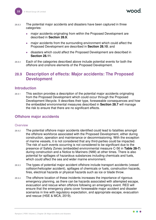- 28.8.3 The potential major accidents and disasters have been captured in three categories:
	- major accidents originating from within the Proposed Development are described in **Section [28.9](#page-33-0)**;
	- major accidents from the surrounding environment which could affect the Proposed Development are described in **Section [28.10](#page-37-0)**; and
	- disasters which could affect the Proposed Development are described in **Section [28.11](#page-39-0)**.
- 28.8.4 Each of the categories described above include potential events for both the offshore and onshore elements of the Proposed Development.

# <span id="page-33-0"></span>**28.9 Description of effects: Major accidents: The Proposed Development**

#### <span id="page-33-1"></span>**Introduction**

28.9.1 This section provides a description of the potential major accidents originating from the Proposed Development which could occur through the Proposed Development lifecycle. It describes their type, foreseeable consequences and how the embedded environmental measures described in **Section [28.7](#page-19-0)** will manage the risk to ensure that there are no significant effects.

# <span id="page-33-2"></span>**Offshore major accidents**

#### **Overview**

- 28.9.2 The potential offshore major accidents identified could lead to fatalities amongst the offshore workforce associated with the Proposed Development, either during construction, operation and maintenance or decommissioning. With the exception of marine vessels, it is not considered that any third-parties could be impacted. The risk of such events occurring is not considered to be significant due to the presence of Safety Zones (embedded environmental measure C-56 in **[Table 28-7](#page-20-1)**) during construction and a Notice to Mariners (NtM) at other times. There is also potential for spillages of hazardous substances including chemicals and fuels, which could affect the sea and wider marine environment.
- 28.9.3 The types of potential major accident offshore include transport accidents (vessel collision/helicopter accident), spillages of chemicals or fuels, construction hazards, fires, electrical hazards or physical hazards such as ice or blade throw.
- 28.9.4 The offshore location of these incidents increases the importance of rigorous emergency planning, as there can be hazards associated with attempted escape, evacuation and rescue when offshore following an emergency event. RED will ensure that the emergency plans cover foreseeable major accident and disaster scenarios in line with regulatory expectation, and appropriate escape, evacuation and rescue (HSE & MCA, 2019).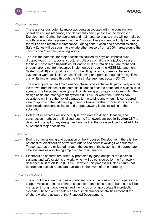#### Physical hazards

- 28.9.5 There are various potential major accidents associated with the construction, operation and maintenance, and decommissioning phases of the Proposed Development. During the operation and maintenance phase, there will normally be no offshore workforce present, as the Proposed Development will only be manned for routine and reactive maintenance. During construction and decommissioning, Safety Zones will be sought to exclude other vessels from a 500m area around the construction / decommissioning works.
- 28.9.6 There is the potential for major accidents caused by physical impacts such dropped loads from a crane, structural collapses or failure of a jack-up vessel in the field. These large hazards could lead to multiple fatalities but are managed through strong control measures implemented through the HSSE Management System (C-170) and good design. For the lifting hazards, there will be safe systems of work, exclusion zones, lift planning and permits required for significant crane lifts implemented through the HSSE Management System (C-170).
- 28.9.7 There are operation and maintenance phase physical hazards, particularly around ice thrown from blades or the potential blades to become detached in excess wind speeds. The Proposed Development will define appropriate conditions within the design basis and management systems (C-170), for when the turbines can operate to minimise the risk of damage to the turbine and when it is considered safe to approach the turbines e.g. during adverse weather. Physical hazards may also include structural collapse and dropped/swung loads including at the substation.
- 28.9.8 Details of all hazards will not be fully known until the design, location, and construction methods are finalised, but the framework outlined in **Section [28.7](#page-19-0)** is designed to adapt to any design and ensure that the risk is reduced to ALARP for all potential major accidents.

#### **Electrical**

- 28.9.9 During commissioning and operation of the Proposed Development, there is the potential for electrocution of workers due to accidents involving live equipment. These hazards are mitigated through the design of the systems and appropriate safe systems of work being employed for maintenance.
- 28.9.10 Electrocution hazards are primarily protected by good design of the electrical systems and safe systems of work, which will be considered by the framework described in **Section [28.7](#page-19-0)** (C-170). However, this process will also ensure that appropriate escape routes are available in the event of an emergency.

#### Fire and explosions

28.9.11 There could be a fire or explosion onboard one of the construction or operations support vessels or in the offshore substation (once constructed) but these will be managed through good design and the inclusion of appropriate fire protection systems. These events could lead to a small number of fatalities amongst the offshore workers as part of the Proposed Development.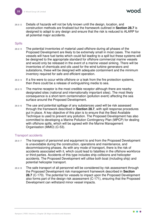28.9.12 Details of hazards will not be fully known until the design, location, and construction methods are finalised but the framework outlined in **Section [28.7](#page-19-0)** is designed to adapt to any design and ensure that the risk is reduced to ALARP for all potential major accidents.

#### **Spills**

- 28.9.13 The potential inventories of material used offshore during all phases of the Proposed Development are likely to be extremely small in most cases. The marine vessels will have fuel tanks which could fail leading to a spill but these systems will be designed to the appropriate standard for offshore commercial marine vessels and would only be released in the event of a marine vessel sinking. There will be inventories of chemicals and oils used for the wind turbine generators and substations, these will be designed with adequate containment and the minimum inventory required for safe and efficient operation.
- 28.9.14 If a fire were to occur while offshore or a leak from the fire protection systems, then there could be a release of extinguishing media to sea.
- 28.9.15 The marine receptor is the most credible receptor although there are nearby designated sites (national and internationally important sites). The most likely consequence is a short-term contamination (pollution event) affecting the sea surface around the Proposed Development.
- 28.9.16 The use and potential spillage of any substances used will be risk assessed through the framework described in **Section [28.7](#page-19-0)**, with spill response procedures put in place. A key objective of this plan is to ensure that the Best Available Technique is used to prevent any pollution. The Proposed Development has also committed to developing a Marine Pollution Contingency Plan (MPCP) for dealing with offshore spills, which will be agreed with the Marine Management Organisation (MMO) (C-53).

#### Transport accidents

- 28.9.17 The transport of personnel and equipment to and from the Proposed Development is unavoidable during the construction, operations and maintenance, and decommissioning phases. As with any mode of transport, there is the risk of accidents associated with it, which could lead to fatalities in the offshore workforce or third parties. Accidents of this type includes ship collisions and helicopter accidents. The Proposed Development will utilise both boat (including ship) and potential helicopter transport.
- 28.9.18 The safe transport of all personnel will be considered by risk assessment through the Proposed Development risk management framework described in **Section [28.7](#page-19-0)** (C-170). The potential for vessels to impact upon the Proposed Development also forms part of the design risk assessment (C-171), ensuring that the Proposed Development can withstand minor vessel impacts.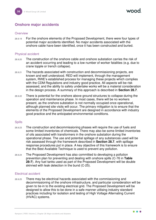# <span id="page-36-0"></span>**Onshore major accidents**

#### **Overview**

28.9.19 For the onshore elements of the Proposed Development, there were four types of potential major accidents identified. No major accidents associated with the onshore cable have been identified, once it has been constructed and buried.

#### Physical accident

- 28.9.20 The construction of the onshore cable and onshore substation carries the risk of an accident occurring and leading to a low number of worker fatalities (e.g. due to crane topple or trench collapse).
- 28.9.21 The hazards associated with construction and decommissioning projects, are known and well understood. RED will implement, through the management system, RWE's established process for managing these projects which complies with the CDM Regulations and industry good practice. All aspects will be risk assessed, and the ability to safely undertake works will be a material consideration in the design process. A summary of this approach is described in **Section [28.7](#page-19-0)**.
- 28.9.22 There is potential for the onshore above ground structures to collapse during the operation and maintenance phase. In most cases, there will be no workers present, as the onshore substation is not normally occupied once operational, although planned site visits will occur. The primary mitigation is to ensure that the elements of the Proposed Development are designed in accordance with industry good practice and the anticipated environmental conditions.

#### **Spills**

- 28.9.23 The construction and decommissioning phases will require the use of fuels and some limited inventories of chemicals. There may also be some limited inventories of oils associated with transformers in the onshore substation during the operational phase. The use and potential spillage of any substances used will be risk assessed through the framework described in **Section [28.7](#page-19-0)**, with spillage response procedures put in place. A key objective of this framework is to ensure that the Best Available Technique is used to prevent any pollution.
- 28.9.24 The Proposed Development has also committed to developing a pollution prevention plan for preventing and dealing with onshore spills (C-76 in **[Table](#page-20-1)  [28-7](#page-20-1)**). Any fuel tanks used as part of the Proposed Development will be double skinned with leak detection in the bund (C-25).

#### Electrical accident

28.9.25 There may be electrical hazards associated with the commissioning and decommissioning of the onshore infrastructure, and particular consideration will be given to tie-in to the existing electrical grid. The Proposed Development will be designed to allow this to be done in a safe manner utilising industry standard practices including for isolation and testing of High Voltage Alternating Current (HVAC) systems.

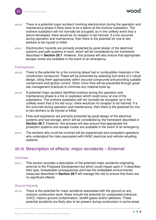- 28.9.26 There is a potential major accident involving electrocution during the operation and maintenance phase if there were to be a failure at the onshore substation. The onshore substation will not normally be occupied, so in the unlikely event that a failure developed, there would be no receptor to be harmed. If a fire occurred during operation and maintenance, then there is the potential for one to two workers to be injured or killed.
- 28.9.27 Electrocution hazards are primarily protected by good design of the electrical systems and safe systems of work, which will be considered by the framework described in **Section [28.7](#page-19-0)**. However, this process will also ensure that appropriate escape routes are available in the event of an emergency.

#### Fire/explosion

- 28.9.28 There is the potential for a fire involving diesel fuel or combustible materials in the construction compound. These will be prevented by selecting fuel tanks of a robust design, siting them appropriately within secured compounds and providing suitable containment and ignition control. Other minor fires will be prevented through good site management practices to minimise any material build up.
- 28.9.29 A potential major accident identified onshore during the operation and maintenance phase is a fire or explosion which could occur at one of the substations. The onshore substation will not normally be occupied, so in the unlikely event that a fire did occur, there would be no receptor to be harmed. If a fire occurred during operation and maintenance, then there is the potential for one to two workers to be injured or killed.
- 28.9.30 Fires and explosions are primarily protected by good design of the electrical systems and fuel storage, which will be considered by the framework described in **Section [28.7](#page-19-0)**. However, this process will also ensure that appropriate fire protection systems and escape routes are available in the event of an emergency.
- 28.9.31 The workers who could be involved will be experienced and competent operators, who understand the risks associated with HVAC electrical and vehicle refuelling systems.

# <span id="page-37-0"></span>**28.10 Description of effects: major accidents – External**

#### **Overview**

28.10.1 This section provides a description of the potential major accidents originating external to the Proposed Development but which could impact upon it. It describes their type, foreseeable consequences and how the embedded environmental measures described in **Section [28.7](#page-19-0)** will manage the risk to ensure that there are no significant effects.

#### Ground Hazards

28.10.2 There is the potential for major accidents associated with the ground on any onshore construction work, these include the potential for unexploded ordnance (UXO), historic ground contamination, landfill gases and/or asbestos. These potential accidents are likely also to be present during construction in some areas

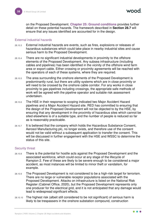on the Proposed Development. **Chapter 25: Ground conditions** provides further detail on these potential hazards. The framework described in **Section [28.7](#page-19-0)** will ensure that any issues identified are accounted for in the design.

#### External industrial hazards

- 28.10.3 External industrial hazards are events, such as fires, explosions or releases of hazardous substances which could take place in nearby industrial sites and cause serious harm to the Proposed Development.
- 28.10.4 There are no significant industrial developments in proximity to the offshore elements of the Proposed Development. Any subsea infrastructure (including cables and pipelines) has been identified in the vicinity of the offshore wind farm area or export cable. Either crossing or proximity agreements will be reached with the operators of each of these systems, where they are required.
- 28.10.5 The area surrounding the onshore elements of the Proposed Development is predominantly rural, but there are utility systems which are in close proximity or will need to be crossed by the onshore cable corridor. For any works in close proximity to gas pipelines including crossings, the appropriate safe methods of work will be agreed with the pipeline operator and suitable risk assessment undertaken.
- 28.10.6 The HSE in their response to scoping indicated two Major Accident Hazard pipelines and a Major Accident Hazard site. RED has committed to ensuring that the design of the Proposed Development will not be objected to by the HSE, by ensuring that any development in the proximity of hazardous sites which cannot be sited elsewhere is of a suitable type, and the number of people is reduced so far as is reasonably practicable.
- 28.10.7 It is believed that the company which holds the Hazardous Substance Consent, Aerosol Manufacturing plc, no longer exists, and therefore use of the consent would not be valid without a subsequent application to transfer the consent. This will be discussed in further engagement with the HSE and WSSC to determine the status of this site.

#### Security threat

- 28.10.8 There is the potential for hostile acts against the Proposed Development and the associated workforce, which could occur at any stage of the lifecycle of Rampion 2. Few of these are likely to be severe enough to be considered a major accident, as most instances will be limited to minor theft or vandalism, for example.
- 28.10.9 The Proposed Development is not considered to be a high-risk target for terrorism. There are no large or vulnerable receptor populations associated with the Proposed Development. Attacks on infrastructure is listed on the National Risk Register (Cabinet Office, 2020), but the Proposed Development represents only one producer for the electrical grid, and it is not anticipated that any damage would lead to widespread significant effects.
- 28.10.10 The highest risk (albeit still considered to be not significant) of serious harm is likely to be trespassers in the onshore substation compound, construction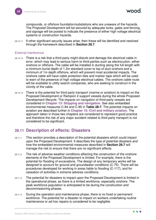compounds, or offshore foundation/substations who are unaware of the hazards. The Proposed Development will be secured by adequate locks, gates and fencing, and signage will be posted to indicate the presence of either high voltage electrical systems or construction hazards.

28.10.11 If other significant security issues arise, then these will be identified and resolved through the framework described in **Section [28.7](#page-19-0)**.

#### External interference

- 28.10.12 There is a risk that a third party might disturb and damage the electrical cable in error, which may lead to serious harm to third-parties such as electrocution, either onshore or offshore. The cable will be installed in ducting along the full length with a minimum burial depth of 1.2m standard cover to top of duct onshore and a minimum of 1m depth offshore, which will prevent most accidental impacts. The onshore cable will have cable protection tiles and marker tape which will be used to warn of the presence of high voltage electrical cables. The onshore cable route will be available to utility search companies, who are seeking to construct in the vicinity of the cable.
- 28.10.13 There is the potential for third party transport (marine or aviation) to impact on the Proposed Development or Rampion 2 support vessels during the whole Proposed Development lifecycle. The impacts on navigation of third-party vessels are considered in **Chapter 13: Shipping and navigation**. See also embedded environmental measures C-84 and C-85 in **[Table 28-7](#page-20-1)**. The potential impacts on aviation are described further in **Chapter 15: Civil and military aviation**. The approach taken in those two chapters are considered to represent good practice and therefore the risk of any major accident related to third party transport is not considered to be significant.

# <span id="page-39-0"></span>**28.11 Description of effects: Disasters**

- 28.11.1 This section provides a description of the potential disasters which could impact upon the Proposed Development. It describes the type of potential disasters and how the embedded environmental measures described in **Section [28.7](#page-19-0)** will manage the risk to ensure that there are no significant effects.
- 28.11.2 The risk of adverse weather conditions affecting the construction of the onshore elements of the Proposed Development is limited. For example, there is the potential for flooding of excavations. The design of any temporary works will be designed to account for ground and groundwater conditions (C-75). There will be procedures developed for working in areas liable to flooding (C-117), and for cessation of activities in extreme adverse conditions.
- 28.11.3 The potential for disasters to impact upon the Proposed Development is limited in the operational phase, as there is a limited workforce, especially onshore. The peak workforce population is anticipated to be during the construction and decommissioning phases.
- 28.11.4 During the operation and maintenance phase, there is no fixed or permanent workforce. The potential for a disaster to impact on workers undertaking routine maintenance or ad-hoc repairs is considered to be negligible.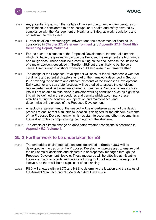- 28.11.5 Any potential impacts on the welfare of workers due to ambient temperatures or precipitation is considered to be an occupational health and safety covered by compliance with the Management of Health and Safety at Work regulations and not relevant to this aspect.
- 28.11.6 Further detail on dewatering/groundwater and the assessment of flood risk is considered in **Chapter 27: Water environment** and **Appendix 27.2: Flood Risk Screening Report, Volume 4.**
- 28.11.7 For the offshore elements of the Proposed Development, the natural elements which will have the greatest impact on the Proposed Development are high winds and rough seas. These could be a contributing cause and increase the likelihood of a major accident described in **Section [28.9](#page-33-0)** but are unlikely to be the sole cause. Direct injury to offshore workers could also arise in extreme weather.
- 28.11.8 The design of the Proposed Development will account for all foreseeable weather conditions and potential disasters as part of the framework described in **Section [28.7](#page-19-0)** covering the onshore and offshore elements of the Proposed Development. Daily weather and sea state forecasts will be studied to assess the conditions before certain work activities are allowed to commence. Some activities such as lifts will not be able to take place in adverse working conditions such as high wind, this will be defined in the procedures and permits which accompany these activities during the construction, operation and maintenance, and decommissioning phases of the Proposed Development.
- 28.11.9 A geological assessment of the seabed will be undertaken as part of the design process to ensure that a suitable foundation is designed for the offshore elements of the Proposed Development which is resistant to scour and other movements in the seabed without compromising the integrity of the structure.
- 28.11.10 The effects of climate change on anticipated weather conditions is described in **Appendix 5.2, Volume 4**.

# <span id="page-40-0"></span>**28.12 Further work to be undertaken for ES**

- 28.12.1 The embedded environmental measures described in **Section [28.7](#page-19-0)** will be developed as the design of the Proposed Development progresses to ensure that the risk of major accidents and disasters is appropriately managed through the Proposed Development lifecycle. These measures will be effective at mitigating the risk of major accidents and disasters throughout the Proposed Development lifecycle, so there will be no significant effects arising.
- 28.12.2 RED will engage with WSCC and HSE to determine the location and the status of the Aerosol Manufacturing plc Major Accident Hazard site.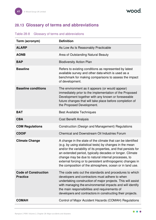# <span id="page-41-0"></span>**28.13 Glossary of terms and abbreviations**

| Term (acronym)                                 | <b>Definition</b>                                                                                                                                                                                                                                                                                                                                                                                                                       |
|------------------------------------------------|-----------------------------------------------------------------------------------------------------------------------------------------------------------------------------------------------------------------------------------------------------------------------------------------------------------------------------------------------------------------------------------------------------------------------------------------|
| <b>ALARP</b>                                   | As Low As Is Reasonably Practicable                                                                                                                                                                                                                                                                                                                                                                                                     |
| <b>AONB</b>                                    | Area of Outstanding Natural Beauty                                                                                                                                                                                                                                                                                                                                                                                                      |
| <b>BAP</b>                                     | <b>Biodiversity Action Plan</b>                                                                                                                                                                                                                                                                                                                                                                                                         |
| <b>Baseline</b>                                | Refers to existing conditions as represented by latest<br>available survey and other data which is used as a<br>benchmark for making comparisons to assess the impact<br>of development.                                                                                                                                                                                                                                                |
| <b>Baseline conditions</b>                     | The environment as it appears (or would appear)<br>immediately prior to the implementation of the Proposed<br>Development together with any known or foreseeable<br>future changes that will take place before completion of<br>the Proposed Development.                                                                                                                                                                               |
| <b>BAT</b>                                     | <b>Best Available Techniques</b>                                                                                                                                                                                                                                                                                                                                                                                                        |
| <b>CBA</b>                                     | <b>Cost Benefit Analysis</b>                                                                                                                                                                                                                                                                                                                                                                                                            |
| <b>CDM Regulations</b>                         | Construction (Design and Management) Regulations                                                                                                                                                                                                                                                                                                                                                                                        |
| <b>CDOIF</b>                                   | <b>Chemical and Downstream Oil Industries Forum</b>                                                                                                                                                                                                                                                                                                                                                                                     |
| <b>Climate Change</b>                          | A change in the state of the climate that can be identified<br>(e.g. by using statistical tests) by changes in the mean<br>and/or the variability of its properties, and that persists for<br>an extended period, typically decades or longer. Climate<br>change may be due to natural internal processes, to<br>external forcing or to persistent anthropogenic changes in<br>the composition of the atmosphere, ocean or in land use. |
| <b>Code of Construction</b><br><b>Practice</b> | The code sets out the standards and procedures to which<br>developers and contractors must adhere to when<br>undertaking construction of major projects. This will assist<br>with managing the environmental impacts and will identify<br>the main responsibilities and requirements of<br>developers and contractors in constructing their projects.                                                                                   |
| <b>COMAH</b>                                   | Control of Major Accident Hazards (COMAH) Regulations                                                                                                                                                                                                                                                                                                                                                                                   |

#### Table 28-8 Glossary of terms and abbreviations

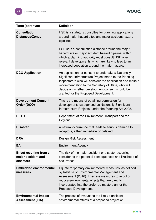

 $\bullet$ Ø.

| Term (acronym)                                                    | <b>Definition</b>                                                                                                                                                                                                                                                                                                              |
|-------------------------------------------------------------------|--------------------------------------------------------------------------------------------------------------------------------------------------------------------------------------------------------------------------------------------------------------------------------------------------------------------------------|
| <b>Consultation</b><br><b>Distances/Zones</b>                     | HSE is a statutory consultee for planning applications<br>around major hazard sites and major accident hazard<br>pipelines.                                                                                                                                                                                                    |
|                                                                   | HSE sets a consultation distance around the major<br>hazard site or major accident hazard pipeline, within<br>which a planning authority must consult HSE over<br>relevant developments which are likely to lead to an<br>increased population around the major hazard.                                                        |
| <b>DCO Application</b>                                            | An application for consent to undertake a Nationally<br>Significant Infrastructure Project made to the Planning<br>Inspectorate who will consider the application and make a<br>recommendation to the Secretary of State, who will<br>decide on whether development consent should be<br>granted for the Proposed Development. |
| <b>Development Consent</b><br>Order (DCO)                         | This is the means of obtaining permission for<br>developments categorised as Nationally Significant<br>Infrastructure Projects, under the Planning Act 2008.                                                                                                                                                                   |
| <b>DETR</b>                                                       | Department of the Environment, Transport and the<br>Regions                                                                                                                                                                                                                                                                    |
| <b>Disaster</b>                                                   | A natural occurrence that leads to serious damage to<br>receptors, either immediate or delayed.                                                                                                                                                                                                                                |
| <b>DRA</b>                                                        | Design Risk Assessment                                                                                                                                                                                                                                                                                                         |
| EA                                                                | <b>Environment Agency</b>                                                                                                                                                                                                                                                                                                      |
| <b>Effect resulting from a</b><br>major accident and<br>disasters | The risk of the major accident or disaster occurring,<br>considering the potential consequences and likelihood of<br>occurrence.                                                                                                                                                                                               |
| <b>Embedded environmental</b><br>measures                         | Equate to 'primary environmental measures' as defined<br>by Institute of Environmental Management and<br>Assessment (2016). They are measures to avoid or<br>reduce environmental effects that are directly<br>incorporated into the preferred masterplan for the<br>Proposed Development.                                     |
| <b>Environmental Impact</b><br><b>Assessment (EIA)</b>            | The process of evaluating the likely significant<br>environmental effects of a proposed project or                                                                                                                                                                                                                             |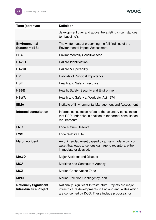

| Term (acronym)                                                 | <b>Definition</b>                                                                                                                                                       |
|----------------------------------------------------------------|-------------------------------------------------------------------------------------------------------------------------------------------------------------------------|
|                                                                | development over and above the existing circumstances<br>(or 'baseline').                                                                                               |
| <b>Environmental</b><br><b>Statement (ES)</b>                  | The written output presenting the full findings of the<br>Environmental Impact Assessment.                                                                              |
| <b>ESA</b>                                                     | <b>Environmentally Sensitive Area</b>                                                                                                                                   |
| <b>HAZID</b>                                                   | <b>Hazard Identification</b>                                                                                                                                            |
| <b>HAZOP</b>                                                   | Hazard & Operability                                                                                                                                                    |
| <b>HPI</b>                                                     | Habitats of Principal Importance                                                                                                                                        |
| <b>HSE</b>                                                     | <b>Health and Safety Executive</b>                                                                                                                                      |
| <b>HSSE</b>                                                    | Health, Safety, Security and Environment                                                                                                                                |
| <b>HSWA</b>                                                    | Health and Safety at Work etc. Act 1974                                                                                                                                 |
| <b>IEMA</b>                                                    | Institute of Environmental Management and Assessment                                                                                                                    |
| <b>Informal consultation</b>                                   | Informal consultation refers to the voluntary consultation<br>that RED undertake in addition to the formal consultation<br>requirements.                                |
| <b>LNR</b>                                                     | <b>Local Nature Reserve</b>                                                                                                                                             |
| <b>LWS</b>                                                     | <b>Local Wildlife Site</b>                                                                                                                                              |
| <b>Major accident</b>                                          | An unintended event caused by a man-made activity or<br>asset that leads to serious damage to receptors, either<br>immediate or delayed.                                |
| MA&D                                                           | Major Accident and Disaster                                                                                                                                             |
| <b>MCA</b>                                                     | Maritime and Coastguard Agency                                                                                                                                          |
| <b>MCZ</b>                                                     | <b>Marine Conservation Zone</b>                                                                                                                                         |
| <b>MPCP</b>                                                    | Marine Pollution Contingency Plan                                                                                                                                       |
| <b>Nationally Significant</b><br><b>Infrastructure Project</b> | Nationally Significant Infrastructure Projects are major<br>infrastructure developments in England and Wales which<br>are consented by DCO. These include proposals for |

 $\bullet$ æ.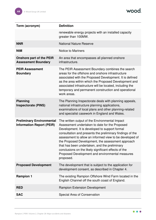

| Term (acronym)                                                       | <b>Definition</b>                                                                                                                                                                                                                                                                                                                                                                                                                                                                                        |
|----------------------------------------------------------------------|----------------------------------------------------------------------------------------------------------------------------------------------------------------------------------------------------------------------------------------------------------------------------------------------------------------------------------------------------------------------------------------------------------------------------------------------------------------------------------------------------------|
|                                                                      | renewable energy projects with an installed capacity<br>greater than 100MW.                                                                                                                                                                                                                                                                                                                                                                                                                              |
| <b>NNR</b>                                                           | <b>National Nature Reserve</b>                                                                                                                                                                                                                                                                                                                                                                                                                                                                           |
| <b>NtM</b>                                                           | <b>Notice to Mariners</b>                                                                                                                                                                                                                                                                                                                                                                                                                                                                                |
| <b>Onshore part of the PEIR</b><br><b>Assessment Boundary</b>        | An area that encompasses all planned onshore<br>infrastructure.                                                                                                                                                                                                                                                                                                                                                                                                                                          |
| <b>PEIR Assessment</b><br><b>Boundary</b>                            | The PEIR Assessment Boundary combines the search<br>areas for the offshore and onshore infrastructure<br>associated with the Proposed Development. It is defined<br>as the area within which the Proposed Development and<br>associated infrastructure will be located, including the<br>temporary and permanent construction and operational<br>work areas.                                                                                                                                             |
| <b>Planning</b><br><b>Inspectorate (PINS)</b>                        | The Planning Inspectorate deals with planning appeals,<br>national infrastructure planning applications,<br>examinations of local plans and other planning-related<br>and specialist casework in England and Wales.                                                                                                                                                                                                                                                                                      |
| <b>Preliminary Environmental</b><br><b>Information Report (PEIR)</b> | The written output of the Environmental Impact<br>Assessment undertaken to date for the Proposed<br>Development. It is developed to support formal<br>consultation and presents the preliminary findings of the<br>assessment to allow an informed view to be developed of<br>the Proposed Development, the assessment approach<br>that has been undertaken, and the preliminary<br>conclusions on the likely significant effects of the<br>Proposed Development and environmental measures<br>proposed. |
| <b>Proposed Development</b>                                          | The development that is subject to the application for<br>development consent, as described in Chapter 4.                                                                                                                                                                                                                                                                                                                                                                                                |
| <b>Rampion 1</b>                                                     | The existing Rampion Offshore Wind Farm located in the<br>English Channel off the south coast of England.                                                                                                                                                                                                                                                                                                                                                                                                |
| <b>RED</b>                                                           | <b>Rampion Extension Development</b>                                                                                                                                                                                                                                                                                                                                                                                                                                                                     |
| <b>SAC</b>                                                           | Special Area of Conservation                                                                                                                                                                                                                                                                                                                                                                                                                                                                             |

 $\bullet\bullet\bullet$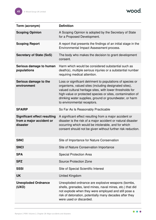wood.

| Term (acronym)                                                              | <b>Definition</b>                                                                                                                                                                                                                                                                                                                        |
|-----------------------------------------------------------------------------|------------------------------------------------------------------------------------------------------------------------------------------------------------------------------------------------------------------------------------------------------------------------------------------------------------------------------------------|
| <b>Scoping Opinion</b>                                                      | A Scoping Opinion is adopted by the Secretary of State<br>for a Proposed Development.                                                                                                                                                                                                                                                    |
| <b>Scoping Report</b>                                                       | A report that presents the findings of an initial stage in the<br>Environmental Impact Assessment process.                                                                                                                                                                                                                               |
| <b>Secretary of State (SoS)</b>                                             | The body who makes the decision to grant development<br>consent.                                                                                                                                                                                                                                                                         |
| Serious damage to human<br>populations                                      | Harm which would be considered substantial such as<br>death(s), multiple serious injuries or a substantial number<br>requiring medical attention.                                                                                                                                                                                        |
| Serious damage to the<br>environment                                        | Loss or significant detriment to populations of species or<br>organisms, valued sites (including designated sites),<br>valued cultural heritage sites, with lower thresholds for<br>high-value or protected species or sites, contamination of<br>drinking water supplies, ground or groundwater, or harm<br>to environmental receptors. |
| <b>SFAIRP</b>                                                               | So Far As Is Reasonably Practicable                                                                                                                                                                                                                                                                                                      |
| <b>Significant effect resulting</b><br>from a major accident or<br>disaster | A significant effect resulting from a major accident or<br>disaster is the risk of a major accident or natural disaster<br>occurring which would be intolerable, and for which<br>consent should not be given without further risk reduction.                                                                                            |
| <b>SINC</b>                                                                 | Site of Importance for Nature Conservation                                                                                                                                                                                                                                                                                               |
| <b>SNCI</b>                                                                 | Site of Nature Conservation Importance                                                                                                                                                                                                                                                                                                   |
| <b>SPA</b>                                                                  | <b>Special Protection Area</b>                                                                                                                                                                                                                                                                                                           |
| <b>SPZ</b>                                                                  | <b>Source Protection Zone</b>                                                                                                                                                                                                                                                                                                            |
| <b>SSSI</b>                                                                 | Site of Special Scientific Interest                                                                                                                                                                                                                                                                                                      |
| <b>UK</b>                                                                   | <b>United Kingdom</b>                                                                                                                                                                                                                                                                                                                    |
| <b>Unexploded Ordnance</b><br>(UXO)                                         | Unexploded ordnance are explosive weapons (bombs,<br>shells, grenades, land mines, naval mines, etc.) that did<br>not explode when they were employed and still pose a<br>risk of detonation, potentially many decades after they<br>were used or discarded.                                                                             |

 $\bullet\bullet\bullet$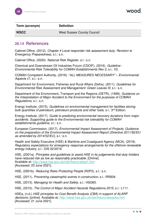

| Term (acronym) | <b>Definition</b>                 |
|----------------|-----------------------------------|
| <b>WSCC</b>    | <b>West Sussex County Council</b> |

# <span id="page-46-0"></span>**28.14 References**

Cabinet Office, (2012). *Chapter 4 Local responder risk assessment duty. Revision to Emergency Preparedness*, s.l.: s.n.

Cabinet Office, (2020). *National Risk Register*, s.l.: s.n.

Chemical and Downstream Oil Industries Forum (CDOIF), (2016). *Guideline - Environmental Risk Tolerability for COMAH Establishments Rev 2*, s.l.: V2.

COMAH Competent Authority, (2016). "*ALL MEASURES NECESSARY" – Environmental Aspects* v7, s.l.: s.n.

Department for Environment, Fisheries and Rural Affairs (Defra), (2011). *Guidelines for Environmental Risk Assessment and Management: Green Leaves III*, s.l.: s.n.

Department of the Environment, Transport and the Regions (DETR), (1999). *Guidance on the Interpretation of Major Accident to the Environment for the purposes of COMAH Regulations*, s.l.: s.n.

Energy Institute, (2015). *Guidelines on environmental management for facilities storing bulk quantities of petroleum, petroleum products and other fuels*, s.l.: 3rd Edition.

Energy Institute, (2017). *Guide to predicting environmental recovery durations from major accidents. Supporting guide to the Environmental risk tolerability for COMAH establishments guideline*, s.l.: s.n.

European Commission, (2017). *Environmental Impact Assessment of Projects, Guidance on the preparation of the Environmental Impact Assessment Report (Directive 2011/92/EU as amended by 2014/52/EU)*, s.l.: s.n.

Health and Safety Executive (HSE) & Maritime and Coastguard Agency (MCA), (2019). *Regulatory expectations for emergency response arrangements for the offshore renewable energy industry*, s.l.: OIS 02/2019.

HSE, (2001a). *Principles and guidelines to assist HSE in its judgements that duty-holders have reduced risk as low as reasonably practicable*. [Online] Available at:<http://www.hse.gov.uk/risk/theory/alarp1.htm> [Accessed: 23 June 2021].

HSE, (2001b). *Reducing Risks Protecting People* (R2P2), s.l.: s.n.

HSE, (2011). *Preventing catastrophic events in construction*, s.l.: RR834.

HSE, (2013). *Managing for Health and Safety*, s.l.: HSG65.

HSE, (2015). *The Control of Major Accident Hazards Regulations 2015*, s.l.: L111.

HSEa, (n.d.) *HSE principles for Cost Benefit Analysis (CBA) in support of ALARP decisions*. [online]. Available at:<http://www.hse.gov.uk/risk/theory/alarpcba.htm> [Accessed: 21 June 2021].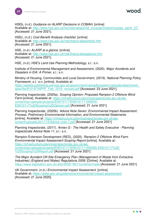HSEb, (n.d.) *Guidance on ALARP Decisions in COMAH*. [online]

Available at: http://www.hse.gov.uk/foi/internalops/hid\_circs/permissioning/spc\_perm\_37/ [Accessed: 21 June 2021].

HSEc, (n.d.) *Cost Benefit Analysis checklist*. [online] Available at:<http://www.hse.gov.uk/risk/theory/alarpcheck.htm> [Accessed: 21 June 2021].

HSE, (n.d.) *ALARP at a glance*. [online] Available at:<http://www.hse.gov.uk/risk/theory/alarpglance.htm> [Accessed: 21 June 2021].

HSE, (n.d.) *HSE's Land Use Planning Methodology*, s.l.: s.n.

Institute of Environmental Management and Assessment, (2020). *Major Accidents and Disasters in EIA: A Primer*, s.l.: s.n.

Ministry of Housing, Communities and Local Government, (2019). *National Planning Policy Framework, s.l.: s.n.* [online]. Available at: [https://assets.publishing.service.gov.uk/government/uploads/system/uploads/attachment\\_](https://assets.publishing.service.gov.uk/government/uploads/system/uploads/attachment_data/file/810197/NPPF_Feb_2019_revised.pdf) [data/file/810197/NPPF\\_Feb\\_2019\\_revised.pdf](https://assets.publishing.service.gov.uk/government/uploads/system/uploads/attachment_data/file/810197/NPPF_Feb_2019_revised.pdf) [Accessed: 23 June 2021].

Planning Inspectorate, (2020a). *Scoping Opinion: Proposed Rampion 2 Offshore Wind Farm* [online]. Available at: [https://infrastructure.planninginspectorate.gov.uk/wp](https://infrastructure.planninginspectorate.gov.uk/wp-content/ipc/uploads/projects/EN010117/EN010117-000045-EN010117%20Scoping%20Opinion.pdf)[content/ipc/uploads/projects/EN010117/EN010117-000045-](https://infrastructure.planninginspectorate.gov.uk/wp-content/ipc/uploads/projects/EN010117/EN010117-000045-EN010117%20Scoping%20Opinion.pdf) [EN010117%20Scoping%20Opinion.pdf](https://infrastructure.planninginspectorate.gov.uk/wp-content/ipc/uploads/projects/EN010117/EN010117-000045-EN010117%20Scoping%20Opinion.pdf) [Accessed: 21 June 2021]

Planning Inspectorate, (2020b). *Advice Note Seven: Environmental Impact Assessment: Process, Preliminary Environmental Information, and Environmental Statements [*online]. Available at: [https://infrastructure.planninginspectorate.gov.uk/wp](https://infrastructure.planninginspectorate.gov.uk/wp-content/uploads/2017/12/Advice-note-7.pdf)[content/uploads/2017/12/Advice-note-7.pdf](https://infrastructure.planninginspectorate.gov.uk/wp-content/uploads/2017/12/Advice-note-7.pdf) [Accessed: 21 June 2021]

Planning Inspectorate, (2017). *Annex G - The Health and Safety Executive - Planning Inspectorate Advice Note 11*, s.l.: s.n.

Rampion Extension Development (RED), (2020). *Rampion 2 Offshore Wind Farm Environmental Impact Assessment Scoping Report* [online]. Available at: [https://infrastructure.planninginspectorate.gov.uk/wp](https://infrastructure.planninginspectorate.gov.uk/wp-content/ipc/uploads/projects/EN010117/EN010117-000006-EN010117%20-%20Scoping%20Report.pdf)[content/ipc/uploads/projects/EN010117/EN010117-000006-EN010117%20-](https://infrastructure.planninginspectorate.gov.uk/wp-content/ipc/uploads/projects/EN010117/EN010117-000006-EN010117%20-%20Scoping%20Report.pdf) [%20Scoping%20Report.pdf](https://infrastructure.planninginspectorate.gov.uk/wp-content/ipc/uploads/projects/EN010117/EN010117-000006-EN010117%20-%20Scoping%20Report.pdf) [Accessed: 21 June 2021]

*The Major Accident Off-Site Emergency Plan (Management of Waste from Extractive Industries) (England and Wales) Regulations 2009*. [Online]. Available at: <https://www.legislation.gov.uk/uksi/2009/1927/contents/made>[Accessed: 21 June 2021]

UK Government, (n.d*.) Environmental Impact Assessment*. [online] Available at:<https://www.gov.uk/guidance/environmental-impact-assessment> [Accessed: 21 June 2020].